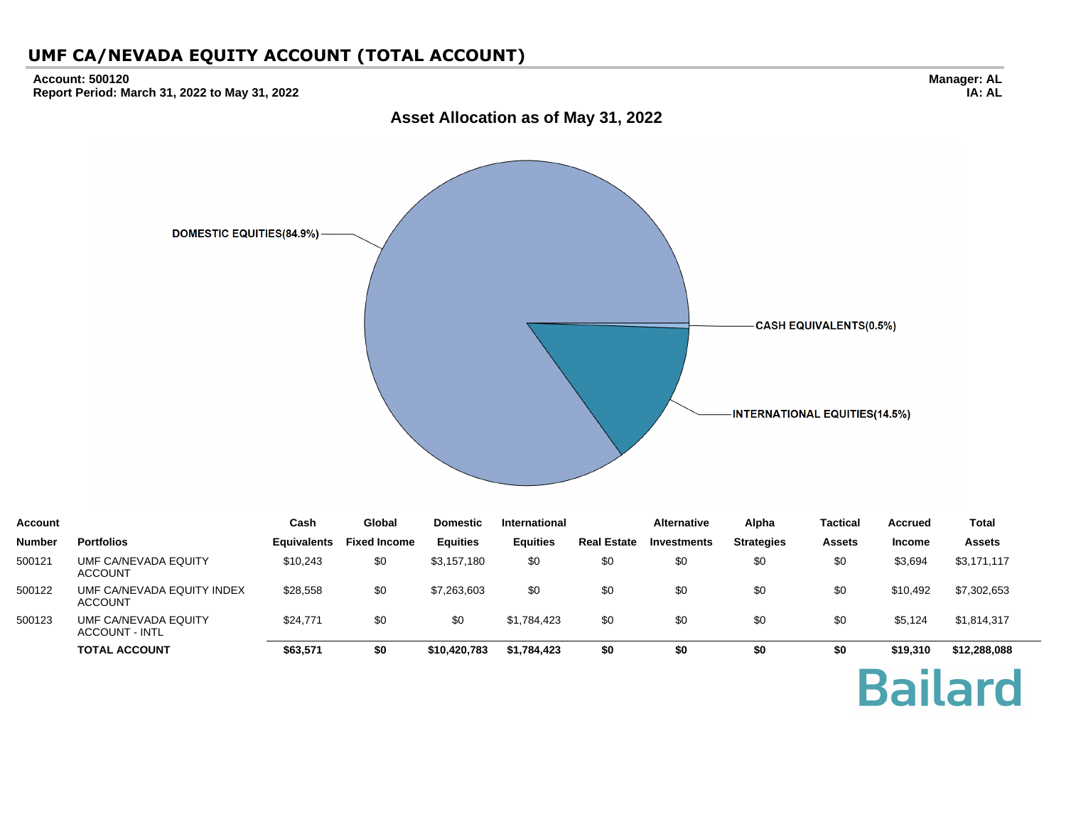#### **Account: 500120 Report Period: March 31, 2022 to May 31, 2022**



| <b>Account</b> |                                               | Cash               | Global              | <b>Domestic</b> | International   |                    | <b>Alternative</b> | Alpha             | <b>Tactical</b> | <b>Accrued</b> | Total         |
|----------------|-----------------------------------------------|--------------------|---------------------|-----------------|-----------------|--------------------|--------------------|-------------------|-----------------|----------------|---------------|
| <b>Number</b>  | <b>Portfolios</b>                             | <b>Equivalents</b> | <b>Fixed Income</b> | <b>Equities</b> | <b>Equities</b> | <b>Real Estate</b> | <b>Investments</b> | <b>Strategies</b> | <b>Assets</b>   | <b>Income</b>  | <b>Assets</b> |
| 500121         | UMF CA/NEVADA EQUITY<br><b>ACCOUNT</b>        | \$10,243           | \$0                 | \$3,157,180     | \$0             | \$0                | \$0                | \$0               | \$0             | \$3,694        | \$3,171,117   |
| 500122         | UMF CA/NEVADA EQUITY INDEX<br><b>ACCOUNT</b>  | \$28,558           | \$0                 | \$7,263,603     | \$0             | \$0                | \$0                | \$0               | \$0             | \$10.492       | \$7,302,653   |
| 500123         | UMF CA/NEVADA EQUITY<br><b>ACCOUNT - INTL</b> | \$24,771           | \$0                 | \$0             | \$1,784,423     | \$0                | \$0                | \$0               | \$0             | \$5,124        | \$1,814,317   |
|                | <b>TOTAL ACCOUNT</b>                          | \$63,571           | \$0                 | \$10,420,783    | \$1,784,423     | \$0                | \$0                | \$0               | \$0             | \$19,310       | \$12,288,088  |

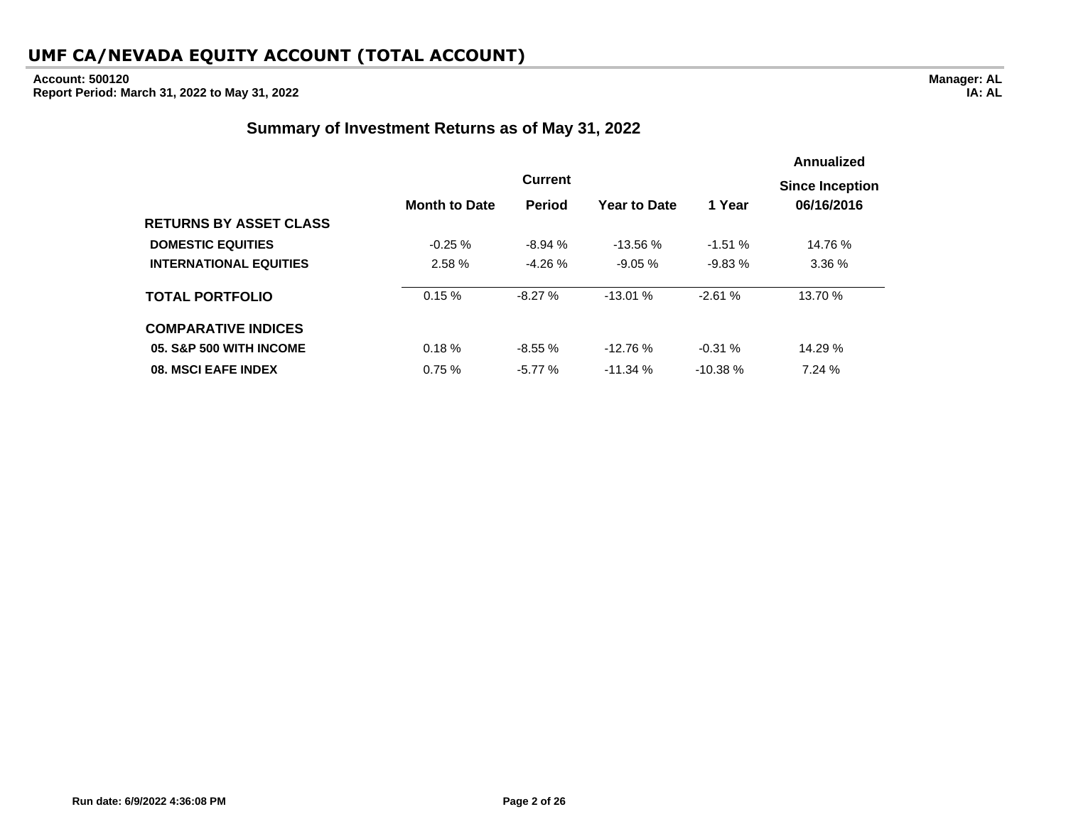# **Account: 500120**

**Report Period: March 31, 2022 to May 31, 2022**

### **Summary of Investment Returns as of May 31, 2022**

|                               |                      |                |                     |           | Annualized             |
|-------------------------------|----------------------|----------------|---------------------|-----------|------------------------|
|                               |                      | <b>Current</b> |                     |           | <b>Since Inception</b> |
|                               | <b>Month to Date</b> | <b>Period</b>  | <b>Year to Date</b> | 1 Year    | 06/16/2016             |
| <b>RETURNS BY ASSET CLASS</b> |                      |                |                     |           |                        |
| <b>DOMESTIC EQUITIES</b>      | $-0.25 \%$           | $-8.94%$       | $-13.56%$           | $-1.51%$  | 14.76 %                |
| <b>INTERNATIONAL EQUITIES</b> | 2.58 %               | $-4.26%$       | $-9.05 \%$          | $-9.83%$  | 3.36%                  |
| <b>TOTAL PORTFOLIO</b>        | 0.15%                | $-8.27%$       | $-13.01%$           | $-2.61%$  | 13.70 %                |
| <b>COMPARATIVE INDICES</b>    |                      |                |                     |           |                        |
| 05. S&P 500 WITH INCOME       | 0.18%                | $-8.55%$       | $-12.76%$           | $-0.31%$  | 14.29 %                |
| 08. MSCI EAFE INDEX           | 0.75%                | $-5.77%$       | $-11.34%$           | $-10.38%$ | 7.24%                  |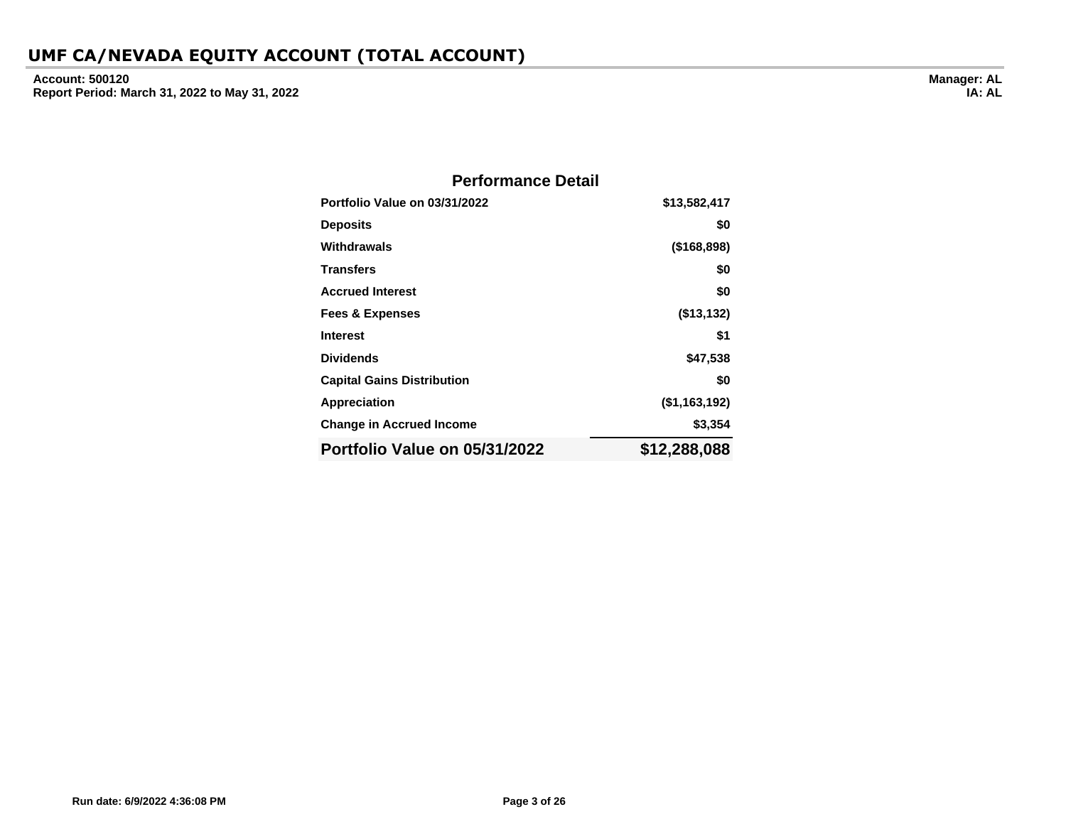**Account: 500120 Report Period: March 31, 2022 to May 31, 2022**

| <b>Performance Detail</b>         |                  |
|-----------------------------------|------------------|
| Portfolio Value on 03/31/2022     | \$13,582,417     |
| <b>Deposits</b>                   | \$0              |
| Withdrawals                       | (\$168,898)      |
| <b>Transfers</b>                  | \$0              |
| <b>Accrued Interest</b>           | \$0              |
| <b>Fees &amp; Expenses</b>        | (\$13,132)       |
| <b>Interest</b>                   | \$1              |
| <b>Dividends</b>                  | \$47,538         |
| <b>Capital Gains Distribution</b> | \$0              |
| Appreciation                      | $($ \$1,163,192) |
| <b>Change in Accrued Income</b>   | \$3,354          |
| Portfolio Value on 05/31/2022     | \$12,288,088     |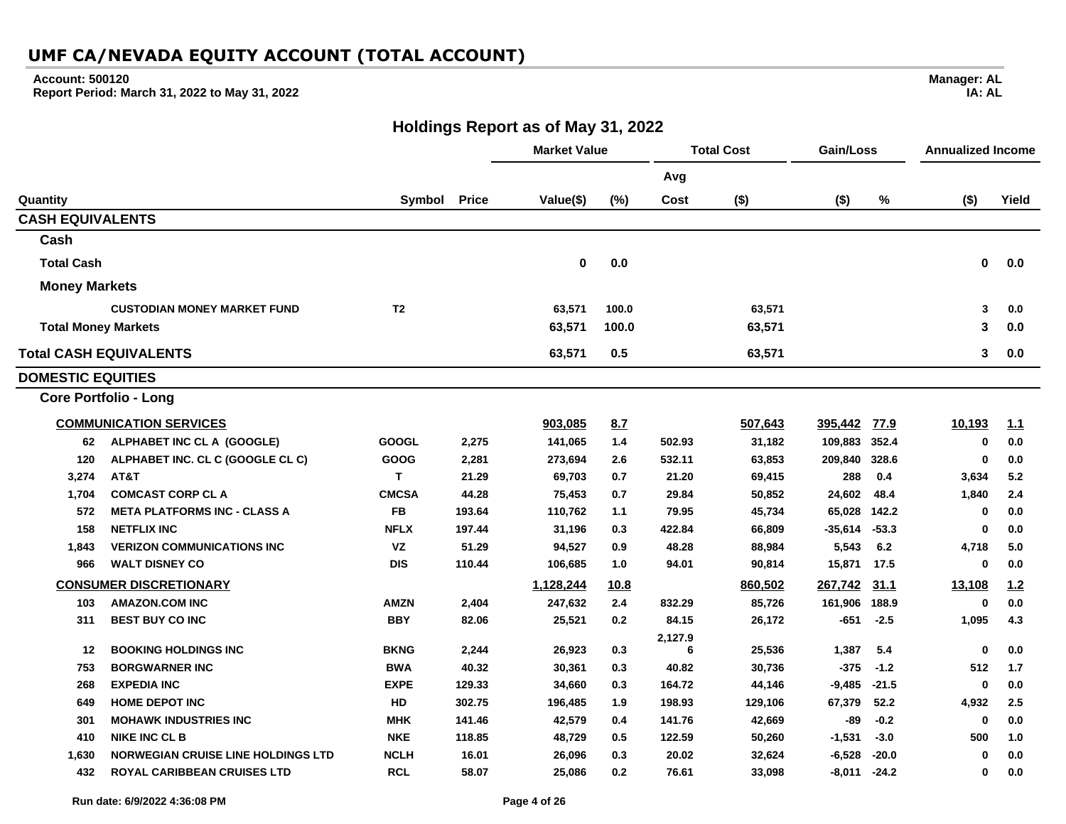### **Account: 500120**

**Report Period: March 31, 2022 to May 31, 2022**

**Manager: AL IA: AL**

### **Holdings Report as of May 31, 2022**

|                            |                                           |                |        | <b>Market Value</b> |             |         | <b>Total Cost</b> | Gain/Loss |         | <b>Annualized Income</b> |       |
|----------------------------|-------------------------------------------|----------------|--------|---------------------|-------------|---------|-------------------|-----------|---------|--------------------------|-------|
|                            |                                           |                |        |                     |             | Avg     |                   |           |         |                          |       |
| Quantity                   |                                           | Symbol         | Price  | Value(\$)           | (%)         | Cost    | $($ \$)           | $($ \$)   | %       | $($ \$)                  | Yield |
| <b>CASH EQUIVALENTS</b>    |                                           |                |        |                     |             |         |                   |           |         |                          |       |
| Cash                       |                                           |                |        |                     |             |         |                   |           |         |                          |       |
| <b>Total Cash</b>          |                                           |                |        | 0                   | 0.0         |         |                   |           |         | 0                        | 0.0   |
| <b>Money Markets</b>       |                                           |                |        |                     |             |         |                   |           |         |                          |       |
|                            | <b>CUSTODIAN MONEY MARKET FUND</b>        | T <sub>2</sub> |        | 63,571              | 100.0       |         | 63,571            |           |         | 3                        | 0.0   |
| <b>Total Money Markets</b> |                                           |                |        | 63,571              | 100.0       |         | 63,571            |           |         | 3                        | 0.0   |
|                            | <b>Total CASH EQUIVALENTS</b>             |                |        | 63,571              | 0.5         |         | 63,571            |           |         | 3                        | 0.0   |
| <b>DOMESTIC EQUITIES</b>   |                                           |                |        |                     |             |         |                   |           |         |                          |       |
|                            | <b>Core Portfolio - Long</b>              |                |        |                     |             |         |                   |           |         |                          |       |
|                            | <b>COMMUNICATION SERVICES</b>             |                |        | 903,085             | 8.7         |         | 507,643           | 395,442   | 77.9    | 10,193                   | 1.1   |
| 62                         | ALPHABET INC CL A (GOOGLE)                | <b>GOOGL</b>   | 2,275  | 141,065             | 1.4         | 502.93  | 31,182            | 109,883   | 352.4   | $\mathbf 0$              | 0.0   |
| 120                        | ALPHABET INC. CL C (GOOGLE CL C)          | GOOG           | 2,281  | 273,694             | 2.6         | 532.11  | 63,853            | 209,840   | 328.6   | $\mathbf 0$              | 0.0   |
| 3,274                      | AT&T                                      | T              | 21.29  | 69,703              | 0.7         | 21.20   | 69,415            | 288       | 0.4     | 3,634                    | 5.2   |
| 1,704                      | <b>COMCAST CORP CL A</b>                  | <b>CMCSA</b>   | 44.28  | 75,453              | 0.7         | 29.84   | 50,852            | 24,602    | 48.4    | 1,840                    | 2.4   |
| 572                        | <b>META PLATFORMS INC - CLASS A</b>       | <b>FB</b>      | 193.64 | 110,762             | 1.1         | 79.95   | 45,734            | 65,028    | 142.2   | 0                        | 0.0   |
| 158                        | <b>NETFLIX INC</b>                        | <b>NFLX</b>    | 197.44 | 31,196              | 0.3         | 422.84  | 66,809            | $-35,614$ | $-53.3$ | $\bf{0}$                 | 0.0   |
| 1,843                      | <b>VERIZON COMMUNICATIONS INC</b>         | <b>VZ</b>      | 51.29  | 94,527              | 0.9         | 48.28   | 88,984            | 5,543     | 6.2     | 4,718                    | 5.0   |
| 966                        | <b>WALT DISNEY CO</b>                     | <b>DIS</b>     | 110.44 | 106,685             | 1.0         | 94.01   | 90,814            | 15,871    | 17.5    | $\mathbf 0$              | 0.0   |
|                            | <b>CONSUMER DISCRETIONARY</b>             |                |        | 1,128,244           | <u>10.8</u> |         | 860,502           | 267,742   | 31.1    | 13,108                   | 1.2   |
| 103                        | <b>AMAZON.COM INC</b>                     | <b>AMZN</b>    | 2,404  | 247,632             | 2.4         | 832.29  | 85,726            | 161,906   | 188.9   | 0                        | 0.0   |
| 311                        | <b>BEST BUY CO INC</b>                    | <b>BBY</b>     | 82.06  | 25,521              | 0.2         | 84.15   | 26,172            | $-651$    | $-2.5$  | 1,095                    | 4.3   |
|                            |                                           |                |        |                     |             | 2,127.9 |                   |           |         |                          |       |
| 12                         | <b>BOOKING HOLDINGS INC</b>               | <b>BKNG</b>    | 2,244  | 26,923              | 0.3         | 6       | 25,536            | 1,387     | 5.4     | $\mathbf 0$              | 0.0   |
| 753                        | <b>BORGWARNER INC</b>                     | <b>BWA</b>     | 40.32  | 30,361              | 0.3         | 40.82   | 30,736            | $-375$    | $-1.2$  | 512                      | 1.7   |
| 268                        | <b>EXPEDIA INC</b>                        | <b>EXPE</b>    | 129.33 | 34,660              | 0.3         | 164.72  | 44,146            | $-9,485$  | $-21.5$ | $\bf{0}$                 | 0.0   |
| 649                        | <b>HOME DEPOT INC</b>                     | HD             | 302.75 | 196,485             | 1.9         | 198.93  | 129,106           | 67,379    | 52.2    | 4,932                    | 2.5   |
| 301                        | <b>MOHAWK INDUSTRIES INC</b>              | <b>MHK</b>     | 141.46 | 42,579              | 0.4         | 141.76  | 42,669            | -89       | $-0.2$  | $\mathbf 0$              | 0.0   |
| 410                        | <b>NIKE INC CL B</b>                      | <b>NKE</b>     | 118.85 | 48,729              | 0.5         | 122.59  | 50,260            | $-1,531$  | $-3.0$  | 500                      | 1.0   |
| 1,630                      | <b>NORWEGIAN CRUISE LINE HOLDINGS LTD</b> | <b>NCLH</b>    | 16.01  | 26,096              | 0.3         | 20.02   | 32,624            | $-6,528$  | $-20.0$ | $\mathbf 0$              | 0.0   |
| 432                        | <b>ROYAL CARIBBEAN CRUISES LTD</b>        | <b>RCL</b>     | 58.07  | 25,086              | 0.2         | 76.61   | 33,098            | -8,011    | $-24.2$ | 0                        | 0.0   |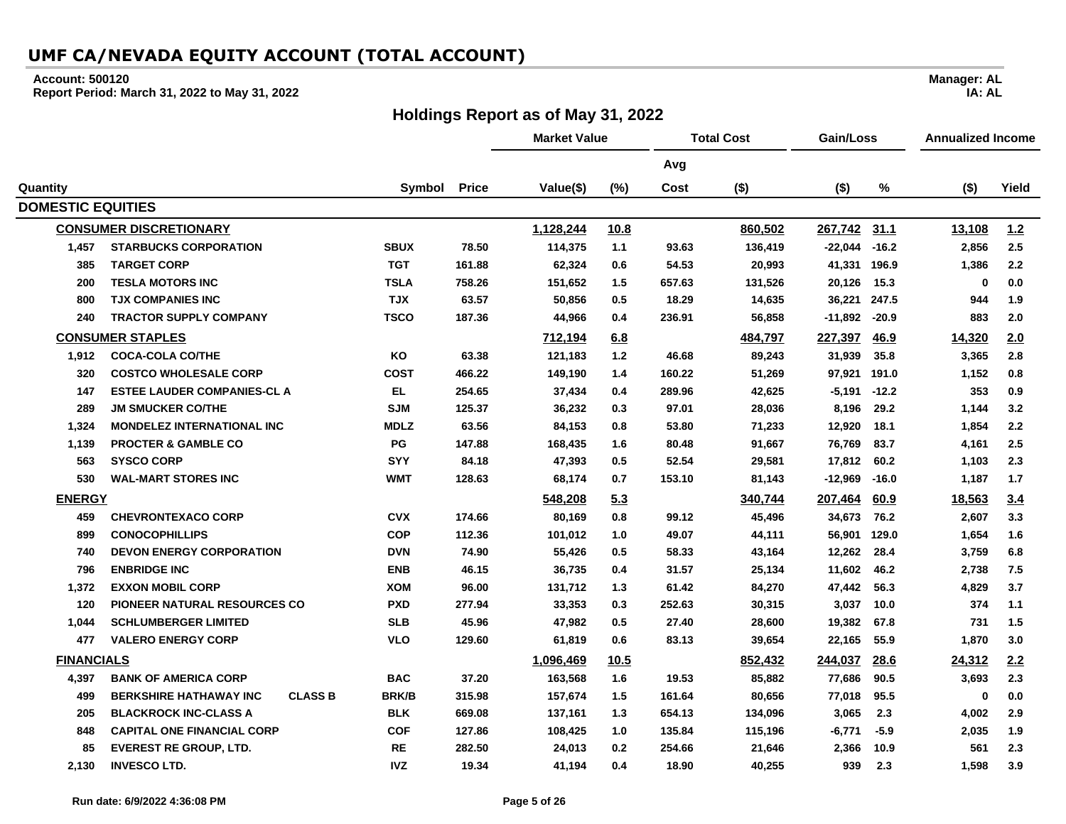#### **Account: 500120**

**Report Period: March 31, 2022 to May 31, 2022**

### **Holdings Report as of May 31, 2022**

**Market Value Total Cost Gain/Loss Annualized Income Avg Quantity Symbol Price Value(\$) (%) Cost (\$) (\$) % (\$) Yield DOMESTIC EQUITIES CONSUMER DISCRETIONARY 1,128,244 10.8 860,502 267,742 31.1 13,108 1.2 1,457 STARBUCKS CORPORATION SBUX 78.50 114,375 1.1 93.63 136,419 -22,044 -16.2 2,856 2.5 385 TARGET CORP TGT 161.88 62,324 0.6 54.53 20,993 41,331 196.9 1,386 2.2 200 TESLA MOTORS INC TSLA 758.26 151,652 1.5 657.63 131,526 20,126 15.3 0 0.0 800 TJX COMPANIES INC TJX 63.57 50,856 0.5 18.29 14,635 36,221 247.5 944 1.9 240 TRACTOR SUPPLY COMPANY TSCO 187.36 44,966 0.4 236.91 56,858 -11,892 -20.9 883 2.0 CONSUMER STAPLES 712,194 6.8 484,797 227,397 46.9 14,320 2.0 1,912 COCA-COLA CO/THE KO 63.38 121,183 1.2 46.68 89,243 31,939 35.8 3,365 2.8 320 COSTCO WHOLESALE CORP COST 466.22 149,190 1.4 160.22 51,269 97,921 191.0 1,152 0.8 147 ESTEE LAUDER COMPANIES-CL A EL 254.65 37,434 0.4 289.96 42,625 -5,191 -12.2 353 0.9 289 JM SMUCKER CO/THE SJM 125.37 36,232 0.3 97.01 28,036 8,196 29.2 1,144 3.2 1,324 MONDELEZ INTERNATIONAL INC MDLZ 63.56 84,153 0.8 53.80 71,233 12,920 18.1 1,854 2.2 1,139 PROCTER & GAMBLE CO PG 147.88 168,435 1.6 80.48 91,667 76,769 83.7 4,161 2.5 563 SYSCO CORP SYY 84.18 47,393 0.5 52.54 29,581 17,812 60.2 1,103 2.3 530 WAL-MART STORES INC WMT 128.63 68,174 0.7 153.10 81,143 -12,969 -16.0 1,187 1.7 ENERGY 548,208 5.3 340,744 207,464 60.9 18,563 3.4 459 CHEVRONTEXACO CORP CVX 174.66 80,169 0.8 99.12 45,496 34,673 76.2 2,607 3.3 899 CONOCOPHILLIPS COP 112.36 101,012 1.0 49.07 44,111 56,901 129.0 1,654 1.6 740 DEVON ENERGY CORPORATION DVN 74.90 55,426 0.5 58.33 43,164 12,262 28.4 3,759 6.8 796 ENBRIDGE INC ENB 46.15 36,735 0.4 31.57 25,134 11,602 46.2 2,738 7.5 1,372 EXXON MOBIL CORP XOM 96.00 131,712 1.3 61.42 84,270 47,442 56.3 4,829 3.7 120 PIONEER NATURAL RESOURCES CO PXD 277.94 33,353 0.3 252.63 30,315 3,037 10.0 374 1.1 1,044 SCHLUMBERGER LIMITED SLB 45.96 47,982 0.5 27.40 28,600 19,382 67.8 731 1.5 477 VALERO ENERGY CORP VLO 129.60 61,819 0.6 83.13 39,654 22,165 55.9 1,870 3.0 FINANCIALS 1,096,469 10.5 852,432 244,037 28.6 24,312 2.2 4,397 BANK OF AMERICA CORP BAC 37.20 163,568 1.6 19.53 85,882 77,686 90.5 3,693 2.3 499 BERKSHIRE HATHAWAY INC CLASS B BRK/B 315.98 157,674 1.5 161.64 80,656 77,018 95.5 0 0.0 205 BLACKROCK INC-CLASS A BLK 669.08 137,161 1.3 654.13 134,096 3,065 2.3 4,002 2.9 848 CAPITAL ONE FINANCIAL CORP COF 127.86 108,425 1.0 135.84 115,196 -6,771 -5.9 2,035 1.9 85 EVEREST RE GROUP, LTD. RE 282.50 24,013 0.2 254.66 21,646 2,366 10.9 561 2.3 2,130 INVESCO LTD. IVZ 19.34 41,194 0.4 18.90 40,255 939 2.3 1,598 3.9**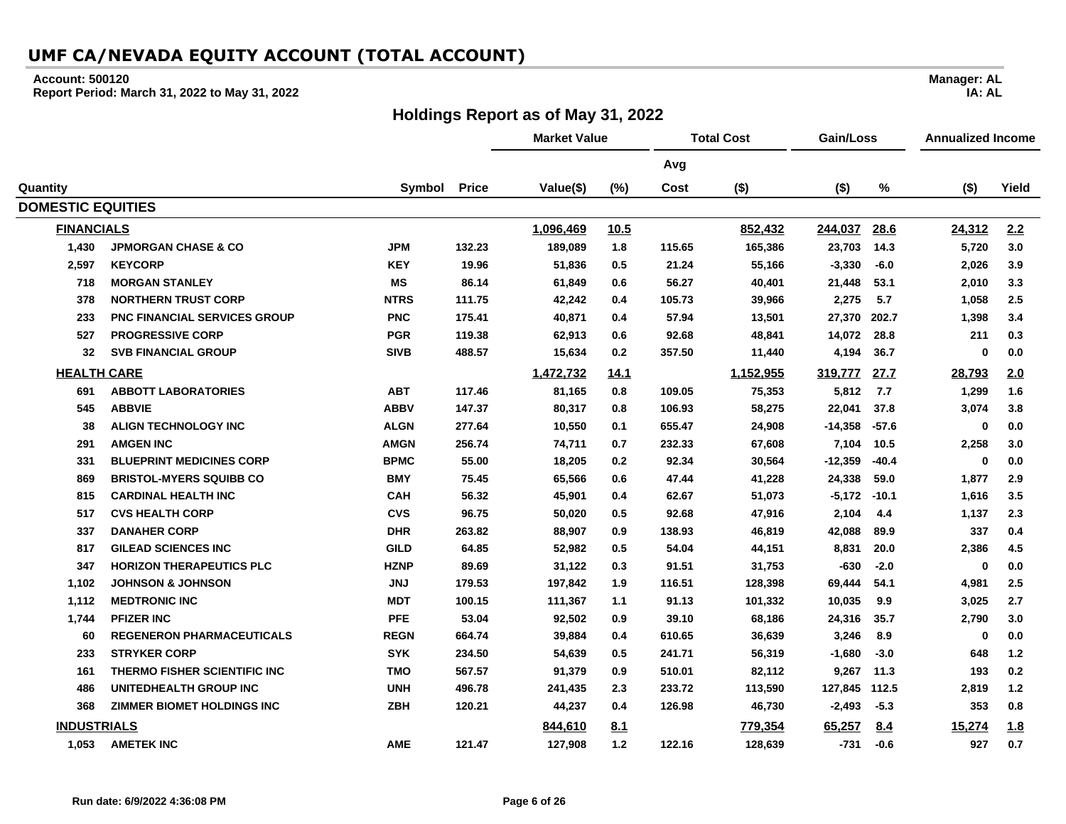#### **Account: 500120**

**Report Period: March 31, 2022 to May 31, 2022**

### **Holdings Report as of May 31, 2022**

**Market Value Total Cost Gain/Loss Annualized Income Avg Quantity Symbol Price Value(\$) (%) Cost (\$) (\$) % (\$) Yield DOMESTIC EQUITIES FINANCIALS 1,096,469 10.5 852,432 244,037 28.6 24,312 2.2 1,430 JPMORGAN CHASE & CO JPM 132.23 189,089 1.8 115.65 165,386 23,703 14.3 5,720 3.0 2,597 KEYCORP KEY 19.96 51,836 0.5 21.24 55,166 -3,330 -6.0 2,026 3.9 MORGAN STANLEY MS 86.14 61,849 0.6 56.27 40,401 21,448 53.1 2,010 3.3 NORTHERN TRUST CORP NTRS 111.75 42,242 0.4 105.73 39,966 2,275 5.7 1,058 2.5 PNC FINANCIAL SERVICES GROUP PNC 175.41 40,871 0.4 57.94 13,501 27,370 202.7 1,398 3.4 PROGRESSIVE CORP PGR 119.38 62,913 0.6 92.68 48,841 14,072 28.8 211 0.3 SVB FINANCIAL GROUP SIVB 488.57 15,634 0.2 357.50 11,440 4,194 36.7 0 0.0 HEALTH CARE 1,472,732 14.1 1,152,955 319,777 27.7 28,793 2.0 ABBOTT LABORATORIES ABT 117.46 81,165 0.8 109.05 75,353 5,812 7.7 1,299 1.6 ABBVIE ABBV 147.37 80,317 0.8 106.93 58,275 22,041 37.8 3,074 3.8 ALIGN TECHNOLOGY INC ALGN 277.64 10,550 0.1 655.47 24,908 -14,358 -57.6 0 0.0 AMGEN INC AMGN 256.74 74,711 0.7 232.33 67,608 7,104 10.5 2,258 3.0 BLUEPRINT MEDICINES CORP BPMC 55.00 18,205 0.2 92.34 30,564 -12,359 -40.4 0 0.0 BRISTOL-MYERS SQUIBB CO BMY 75.45 65,566 0.6 47.44 41,228 24,338 59.0 1,877 2.9 CARDINAL HEALTH INC CAH 56.32 45,901 0.4 62.67 51,073 -5,172 -10.1 1,616 3.5 CVS HEALTH CORP CVS 96.75 50,020 0.5 92.68 47,916 2,104 4.4 1,137 2.3 DANAHER CORP DHR 263.82 88,907 0.9 138.93 46,819 42,088 89.9 337 0.4 GILEAD SCIENCES INC GILD 64.85 52,982 0.5 54.04 44,151 8,831 20.0 2,386 4.5 HORIZON THERAPEUTICS PLC HZNP 89.69 31,122 0.3 91.51 31,753 -630 -2.0 0 0.0 1,102 JOHNSON & JOHNSON JNJ 179.53 197,842 1.9 116.51 128,398 69,444 54.1 4,981 2.5 1,112 MEDTRONIC INC MDT 100.15 111,367 1.1 91.13 101,332 10,035 9.9 3,025 2.7 1,744 PFIZER INC PFE 53.04 92,502 0.9 39.10 68,186 24,316 35.7 2,790 3.0 REGENERON PHARMACEUTICALS REGN 664.74 39,884 0.4 610.65 36,639 3,246 8.9 0 0.0 STRYKER CORP SYK 234.50 54,639 0.5 241.71 56,319 -1,680 -3.0 648 1.2 THERMO FISHER SCIENTIFIC INC TMO 567.57 91,379 0.9 510.01 82,112 9,267 11.3 193 0.2 UNITEDHEALTH GROUP INC UNH 496.78 241,435 2.3 233.72 113,590 127,845 112.5 2,819 1.2 ZIMMER BIOMET HOLDINGS INC ZBH 120.21 44,237 0.4 126.98 46,730 -2,493 -5.3 353 0.8 INDUSTRIALS 844,610 8.1 779,354 65,257 8.4 15,274 1.8 1,053 AMETEK INC AME 121.47 127,908 1.2 122.16 128,639 -731 -0.6 927 0.7**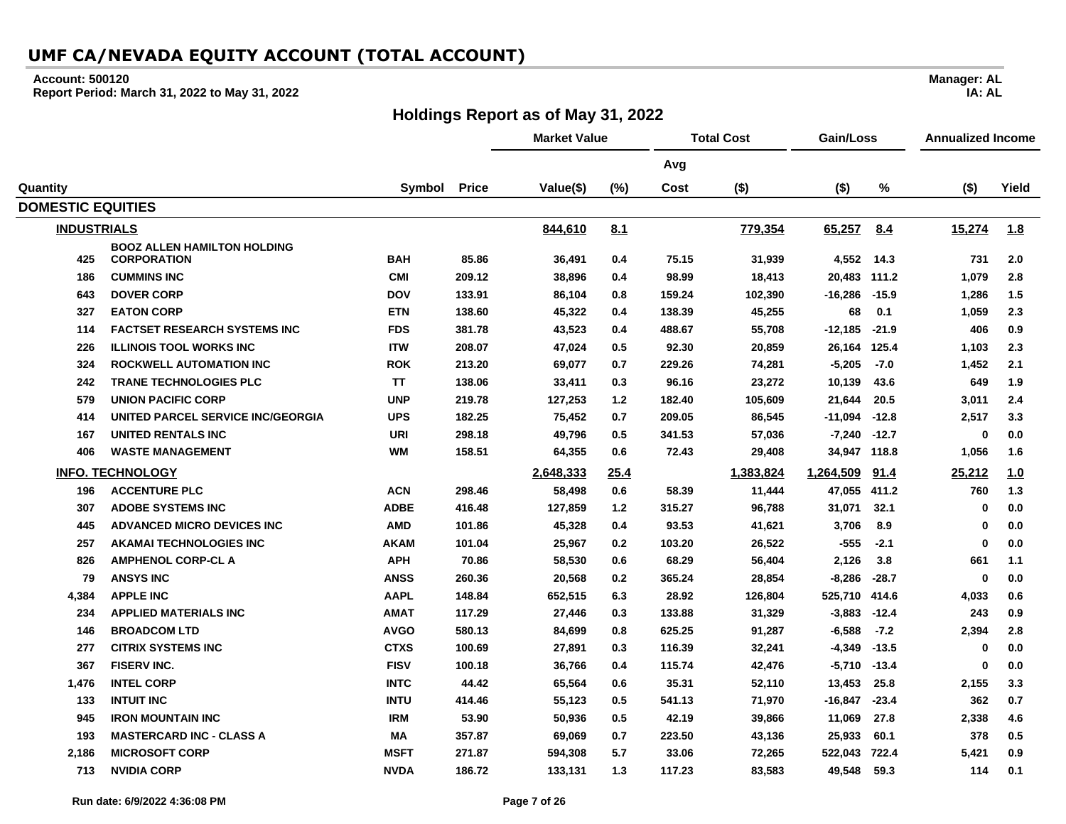### **Account: 500120**

**Report Period: March 31, 2022 to May 31, 2022**

## **Holdings Report as of May 31, 2022**

|                          |                                                          |             |              | <b>Market Value</b> |      |        | <b>Total Cost</b> | Gain/Loss    |         | <b>Annualized Income</b> |            |
|--------------------------|----------------------------------------------------------|-------------|--------------|---------------------|------|--------|-------------------|--------------|---------|--------------------------|------------|
|                          |                                                          |             |              |                     |      | Avg    |                   |              |         |                          |            |
| Quantity                 |                                                          | Symbol      | <b>Price</b> | Value(\$)           | (%)  | Cost   | $($ \$)           | $($ \$)      | %       | $($ \$)                  | Yield      |
| <b>DOMESTIC EQUITIES</b> |                                                          |             |              |                     |      |        |                   |              |         |                          |            |
| <b>INDUSTRIALS</b>       |                                                          |             |              | 844,610             | 8.1  |        | 779,354           | 65,257       | 8.4     | 15,274                   | <u>1.8</u> |
| 425                      | <b>BOOZ ALLEN HAMILTON HOLDING</b><br><b>CORPORATION</b> | <b>BAH</b>  | 85.86        | 36,491              | 0.4  | 75.15  | 31,939            | 4,552 14.3   |         | 731                      | 2.0        |
| 186                      | <b>CUMMINS INC</b>                                       | <b>CMI</b>  | 209.12       | 38,896              | 0.4  | 98.99  | 18,413            | 20,483       | 111.2   | 1,079                    | 2.8        |
| 643                      | <b>DOVER CORP</b>                                        | <b>DOV</b>  | 133.91       | 86,104              | 0.8  | 159.24 | 102,390           | $-16,286$    | $-15.9$ | 1,286                    | 1.5        |
| 327                      | <b>EATON CORP</b>                                        | <b>ETN</b>  | 138.60       | 45,322              | 0.4  | 138.39 | 45,255            | 68           | 0.1     | 1,059                    | 2.3        |
| 114                      | <b>FACTSET RESEARCH SYSTEMS INC</b>                      | <b>FDS</b>  | 381.78       | 43,523              | 0.4  | 488.67 | 55,708            | $-12,185$    | $-21.9$ | 406                      | 0.9        |
| 226                      | <b>ILLINOIS TOOL WORKS INC</b>                           | <b>ITW</b>  | 208.07       | 47,024              | 0.5  | 92.30  | 20,859            | 26,164 125.4 |         | 1,103                    | 2.3        |
| 324                      | <b>ROCKWELL AUTOMATION INC</b>                           | <b>ROK</b>  | 213.20       | 69,077              | 0.7  | 229.26 | 74,281            | $-5,205$     | $-7.0$  | 1,452                    | 2.1        |
| 242                      | <b>TRANE TECHNOLOGIES PLC</b>                            | <b>TT</b>   | 138.06       | 33,411              | 0.3  | 96.16  | 23,272            | 10,139       | 43.6    | 649                      | 1.9        |
| 579                      | <b>UNION PACIFIC CORP</b>                                | <b>UNP</b>  | 219.78       | 127,253             | 1.2  | 182.40 | 105,609           | 21,644       | 20.5    | 3,011                    | 2.4        |
| 414                      | UNITED PARCEL SERVICE INC/GEORGIA                        | <b>UPS</b>  | 182.25       | 75,452              | 0.7  | 209.05 | 86,545            | $-11,094$    | $-12.8$ | 2,517                    | 3.3        |
| 167                      | <b>UNITED RENTALS INC</b>                                | URI         | 298.18       | 49,796              | 0.5  | 341.53 | 57.036            | -7,240       | $-12.7$ | 0                        | 0.0        |
| 406                      | <b>WASTE MANAGEMENT</b>                                  | WM          | 158.51       | 64,355              | 0.6  | 72.43  | 29,408            | 34,947 118.8 |         | 1,056                    | 1.6        |
|                          | <b>INFO. TECHNOLOGY</b>                                  |             |              | 2,648,333           | 25.4 |        | 1,383,824         | 1,264,509    | 91.4    | 25,212                   | 1.0        |
| 196                      | <b>ACCENTURE PLC</b>                                     | <b>ACN</b>  | 298.46       | 58,498              | 0.6  | 58.39  | 11,444            | 47,055 411.2 |         | 760                      | 1.3        |
| 307                      | <b>ADOBE SYSTEMS INC</b>                                 | <b>ADBE</b> | 416.48       | 127,859             | 1.2  | 315.27 | 96,788            | 31,071       | 32.1    | 0                        | 0.0        |
| 445                      | ADVANCED MICRO DEVICES INC                               | <b>AMD</b>  | 101.86       | 45,328              | 0.4  | 93.53  | 41,621            | 3,706        | 8.9     | 0                        | 0.0        |
| 257                      | <b>AKAMAI TECHNOLOGIES INC</b>                           | AKAM        | 101.04       | 25,967              | 0.2  | 103.20 | 26,522            | $-555$       | $-2.1$  | 0                        | 0.0        |
| 826                      | <b>AMPHENOL CORP-CL A</b>                                | <b>APH</b>  | 70.86        | 58,530              | 0.6  | 68.29  | 56,404            | 2,126        | 3.8     | 661                      | 1.1        |
| 79                       | <b>ANSYS INC</b>                                         | <b>ANSS</b> | 260.36       | 20,568              | 0.2  | 365.24 | 28,854            | $-8,286$     | $-28.7$ | 0                        | 0.0        |
| 4,384                    | <b>APPLE INC</b>                                         | <b>AAPL</b> | 148.84       | 652,515             | 6.3  | 28.92  | 126,804           | 525,710      | 414.6   | 4,033                    | 0.6        |
| 234                      | <b>APPLIED MATERIALS INC</b>                             | <b>AMAT</b> | 117.29       | 27,446              | 0.3  | 133.88 | 31,329            | $-3,883$     | $-12.4$ | 243                      | 0.9        |
| 146                      | <b>BROADCOM LTD</b>                                      | <b>AVGO</b> | 580.13       | 84,699              | 0.8  | 625.25 | 91,287            | $-6,588$     | $-7.2$  | 2,394                    | 2.8        |
| 277                      | <b>CITRIX SYSTEMS INC</b>                                | <b>CTXS</b> | 100.69       | 27,891              | 0.3  | 116.39 | 32,241            | $-4,349$     | $-13.5$ | 0                        | 0.0        |
| 367                      | <b>FISERV INC.</b>                                       | <b>FISV</b> | 100.18       | 36,766              | 0.4  | 115.74 | 42,476            | $-5,710$     | $-13.4$ | $\mathbf 0$              | 0.0        |
| 1,476                    | <b>INTEL CORP</b>                                        | <b>INTC</b> | 44.42        | 65,564              | 0.6  | 35.31  | 52,110            | 13,453       | 25.8    | 2,155                    | 3.3        |
| 133                      | <b>INTUIT INC</b>                                        | <b>INTU</b> | 414.46       | 55,123              | 0.5  | 541.13 | 71,970            | $-16,847$    | $-23.4$ | 362                      | 0.7        |
| 945                      | <b>IRON MOUNTAIN INC</b>                                 | <b>IRM</b>  | 53.90        | 50,936              | 0.5  | 42.19  | 39,866            | 11,069       | 27.8    | 2,338                    | 4.6        |
| 193                      | <b>MASTERCARD INC - CLASS A</b>                          | ΜA          | 357.87       | 69,069              | 0.7  | 223.50 | 43,136            | 25,933       | 60.1    | 378                      | 0.5        |
| 2,186                    | <b>MICROSOFT CORP</b>                                    | <b>MSFT</b> | 271.87       | 594,308             | 5.7  | 33.06  | 72,265            | 522,043      | 722.4   | 5,421                    | 0.9        |
| 713                      | <b>NVIDIA CORP</b>                                       | <b>NVDA</b> | 186.72       | 133,131             | 1.3  | 117.23 | 83,583            | 49,548       | 59.3    | 114                      | 0.1        |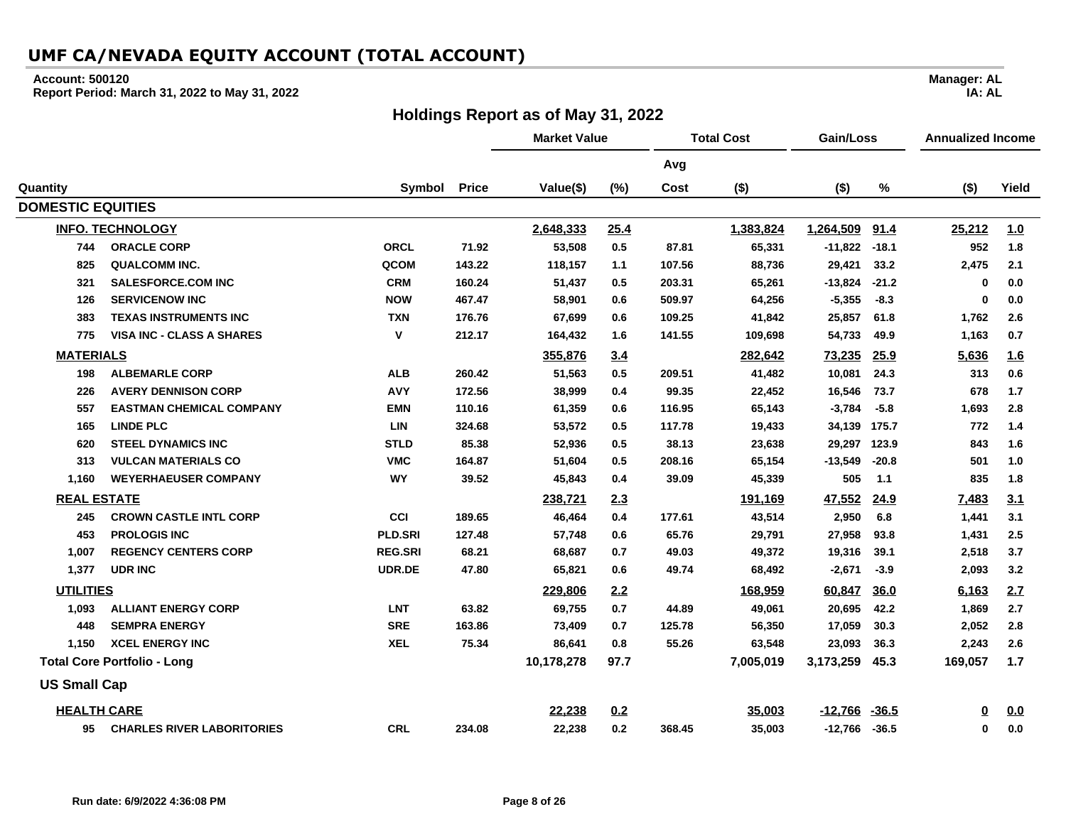#### **Account: 500120**

**Report Period: March 31, 2022 to May 31, 2022**

### **Holdings Report as of May 31, 2022**

**Avg Quantity Symbol Price Value(\$) (%) Cost (\$) (\$) % (\$) Yield DOMESTIC EQUITIES INFO. TECHNOLOGY 2,648,333 25.4 1,383,824 1,264,509 91.4 25,212 1.0 744 ORACLE CORP ORCL 71.92 53,508 0.5 87.81 65,331 -11,822 -18.1 952 1.8 825 QUALCOMM INC. QCOM 143.22 118,157 1.1 107.56 88,736 29,421 33.2 2,475 2.1 321 SALESFORCE.COM INC CRM 160.24 51,437 0.5 203.31 65,261 -13,824 -21.2 0 0.0 126 SERVICENOW INC NOW 467.47 58,901 0.6 509.97 64,256 -5,355 -8.3 0 0.0 383 TEXAS INSTRUMENTS INC TXN 176.76 67,699 0.6 109.25 41,842 25,857 61.8 1,762 2.6 775 VISA INC - CLASS A SHARES V 212.17 164,432 1.6 141.55 109,698 54,733 49.9 1,163 0.7 MATERIALS 355,876 3.4 282,642 73,235 25.9 5,636 1.6 198 ALBEMARLE CORP ALB 260.42 51,563 0.5 209.51 41,482 10,081 24.3 313 0.6 226 AVERY DENNISON CORP AVY 172.56 38,999 0.4 99.35 22,452 16,546 73.7 678 1.7 557 EASTMAN CHEMICAL COMPANY EMN 110.16 61,359 0.6 116.95 65,143 -3,784 -5.8 1,693 2.8 165 LINDE PLC LIN 324.68 53,572 0.5 117.78 19,433 34,139 175.7 772 1.4 620 STEEL DYNAMICS INC STLD 85.38 52,936 0.5 38.13 23,638 29,297 123.9 843 1.6 313 VULCAN MATERIALS CO VMC 164.87 51,604 0.5 208.16 65,154 -13,549 -20.8 501 1.0 1,160 WEYERHAEUSER COMPANY WY 39.52 45,843 0.4 39.09 45,339 505 1.1 835 1.8 REAL ESTATE 238,721 2.3 191,169 47,552 24.9 7,483 3.1 245 CROWN CASTLE INTL CORP CCI 189.65 46,464 0.4 177.61 43,514 2,950 6.8 1,441 3.1 453 PROLOGIS INC PLD.SRI 127.48 57,748 0.6 65.76 29,791 27,958 93.8 1,431 2.5 1,007 REGENCY CENTERS CORP REG.SRI 68.21 68,687 0.7 49.03 49,372 19,316 39.1 2,518 3.7 1,377 UDR INC UDR.DE 47.80 65,821 0.6 49.74 68,492 -2,671 -3.9 2,093 3.2 UTILITIES 229,806 2.2 168,959 60,847 36.0 6,163 2.7 1,093 ALLIANT ENERGY CORP LNT 63.82 69,755 0.7 44.89 49,061 20,695 42.2 1,869 2.7 448 SEMPRA ENERGY SRE 163.86 73,409 0.7 125.78 56,350 17,059 30.3 2,052 2.8 1,150 XCEL ENERGY INC XEL 75.34 86,641 0.8 55.26 63,548 23,093 36.3 2,243 2.6 Total Core Portfolio - Long 10,178,278 97.7 7,005,019 3,173,259 45.3 169,057 1.7 US Small Cap HEALTH CARE 22,238 0.2 35,003 -12,766 -36.5 0 0.0 95 CHARLES RIVER LABORITORIES CRL 234.08 22,238 0.2 368.45 35,003 -12,766 -36.5 0 0.0**

**Manager: AL IA: AL**

**Market Value Total Cost Gain/Loss Annualized Income**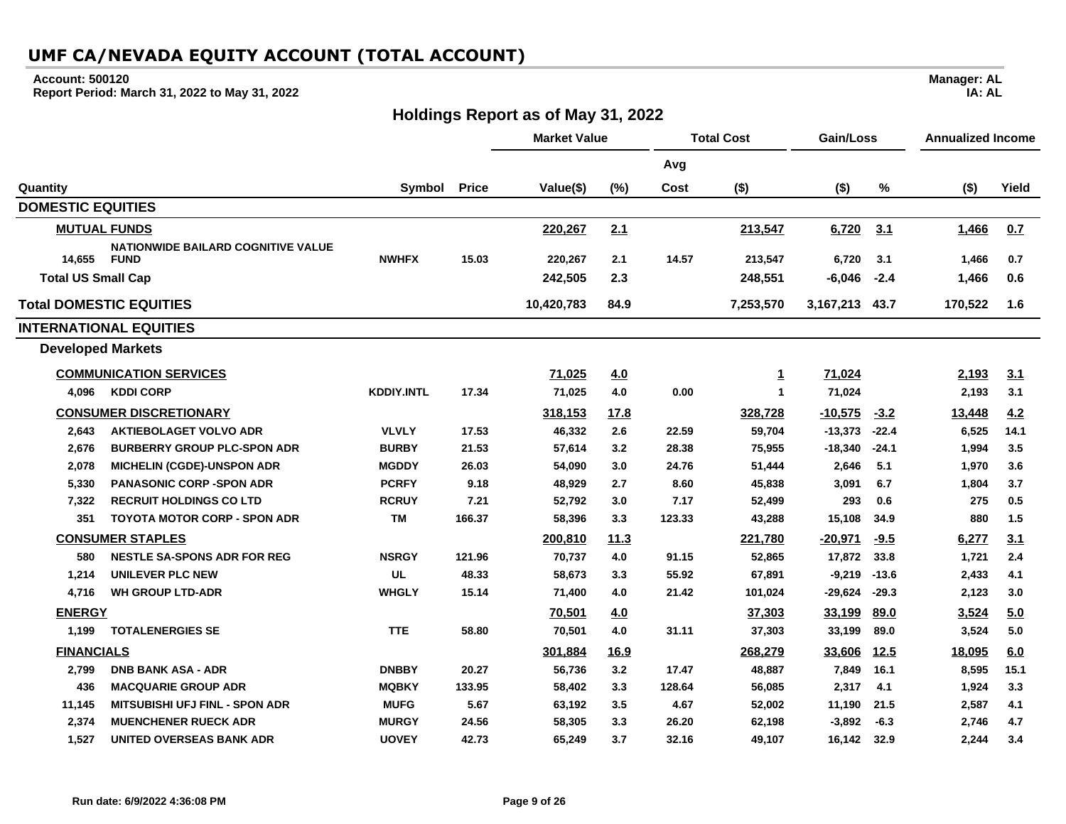### **Account: 500120**

÷.

**Report Period: March 31, 2022 to May 31, 2022**

## **Holdings Report as of May 31, 2022**

|                                                 |                   |              | <b>Market Value</b> |             |        | <b>Total Cost</b> | Gain/Loss      |             | <b>Annualized Income</b> |            |
|-------------------------------------------------|-------------------|--------------|---------------------|-------------|--------|-------------------|----------------|-------------|--------------------------|------------|
|                                                 |                   |              |                     |             | Avg    |                   |                |             |                          |            |
| Quantity                                        | Symbol            | <b>Price</b> | Value(\$)           | (%)         | Cost   | $($ \$)           | $($ \$)        | %           | $($ \$)                  | Yield      |
| <b>DOMESTIC EQUITIES</b>                        |                   |              |                     |             |        |                   |                |             |                          |            |
| <b>MUTUAL FUNDS</b>                             |                   |              | 220,267             | 2.1         |        | 213,547           | 6,720          | 3.1         | 1,466                    | 0.7        |
| <b>NATIONWIDE BAILARD COGNITIVE VALUE</b>       |                   |              |                     |             |        |                   |                |             |                          |            |
| 14,655<br><b>FUND</b>                           | <b>NWHFX</b>      | 15.03        | 220,267             | 2.1         | 14.57  | 213,547           | 6,720          | 3.1         | 1,466                    | 0.7        |
| <b>Total US Small Cap</b>                       |                   |              | 242,505             | 2.3         |        | 248,551           | $-6,046$       | $-2.4$      | 1,466                    | 0.6        |
| <b>Total DOMESTIC EQUITIES</b>                  |                   |              | 10,420,783          | 84.9        |        | 7,253,570         | 3,167,213 43.7 |             | 170,522                  | 1.6        |
| <b>INTERNATIONAL EQUITIES</b>                   |                   |              |                     |             |        |                   |                |             |                          |            |
| <b>Developed Markets</b>                        |                   |              |                     |             |        |                   |                |             |                          |            |
| <b>COMMUNICATION SERVICES</b>                   |                   |              | 71,025              | 4.0         |        | <u>1</u>          | 71,024         |             | 2,193                    | <u>3.1</u> |
| <b>KDDI CORP</b><br>4,096                       | <b>KDDIY.INTL</b> | 17.34        | 71,025              | 4.0         | 0.00   | $\mathbf{1}$      | 71,024         |             | 2,193                    | 3.1        |
| <b>CONSUMER DISCRETIONARY</b>                   |                   |              | 318,153             | <u>17.8</u> |        | 328,728           | $-10,575$      | $-3.2$      | 13,448                   | 4.2        |
| <b>AKTIEBOLAGET VOLVO ADR</b><br>2,643          | <b>VLVLY</b>      | 17.53        | 46,332              | 2.6         | 22.59  | 59,704            | $-13,373$      | $-22.4$     | 6,525                    | 14.1       |
| 2,676<br><b>BURBERRY GROUP PLC-SPON ADR</b>     | <b>BURBY</b>      | 21.53        | 57,614              | 3.2         | 28.38  | 75,955            | $-18,340$      | $-24.1$     | 1,994                    | 3.5        |
| 2,078<br><b>MICHELIN (CGDE)-UNSPON ADR</b>      | <b>MGDDY</b>      | 26.03        | 54,090              | 3.0         | 24.76  | 51,444            | 2,646          | 5.1         | 1,970                    | 3.6        |
| 5,330<br><b>PANASONIC CORP -SPON ADR</b>        | <b>PCRFY</b>      | 9.18         | 48,929              | 2.7         | 8.60   | 45,838            | 3,091          | 6.7         | 1,804                    | 3.7        |
| <b>RECRUIT HOLDINGS CO LTD</b><br>7,322         | <b>RCRUY</b>      | 7.21         | 52,792              | 3.0         | 7.17   | 52,499            | 293            | 0.6         | 275                      | 0.5        |
| 351<br><b>TOYOTA MOTOR CORP - SPON ADR</b>      | <b>TM</b>         | 166.37       | 58,396              | 3.3         | 123.33 | 43,288            | 15,108         | 34.9        | 880                      | $1.5$      |
| <b>CONSUMER STAPLES</b>                         |                   |              | 200,810             | <u>11.3</u> |        | 221,780           | $-20,971$      | $-9.5$      | 6,277                    | 3.1        |
| <b>NESTLE SA-SPONS ADR FOR REG</b><br>580       | <b>NSRGY</b>      | 121.96       | 70,737              | 4.0         | 91.15  | 52,865            | 17,872         | 33.8        | 1,721                    | 2.4        |
| 1,214<br><b>UNILEVER PLC NEW</b>                | <b>UL</b>         | 48.33        | 58,673              | 3.3         | 55.92  | 67,891            | $-9,219$       | $-13.6$     | 2,433                    | 4.1        |
| 4,716<br><b>WH GROUP LTD-ADR</b>                | <b>WHGLY</b>      | 15.14        | 71,400              | 4.0         | 21.42  | 101,024           | $-29,624$      | $-29.3$     | 2,123                    | 3.0        |
| <b>ENERGY</b>                                   |                   |              | 70,501              | 4.0         |        | 37,303            | 33,199         | 89.0        | 3,524                    | 5.0        |
| <b>TOTALENERGIES SE</b><br>1,199                | <b>TTE</b>        | 58.80        | 70,501              | 4.0         | 31.11  | 37,303            | 33,199         | 89.0        | 3,524                    | 5.0        |
| <b>FINANCIALS</b>                               |                   |              | 301,884             | 16.9        |        | 268,279           | 33,606         | <u>12.5</u> | 18,095                   | 6.0        |
| 2,799<br><b>DNB BANK ASA - ADR</b>              | <b>DNBBY</b>      | 20.27        | 56,736              | 3.2         | 17.47  | 48,887            | 7,849          | 16.1        | 8,595                    | 15.1       |
| 436<br><b>MACQUARIE GROUP ADR</b>               | <b>MQBKY</b>      | 133.95       | 58,402              | 3.3         | 128.64 | 56,085            | 2,317          | 4.1         | 1,924                    | 3.3        |
| 11,145<br><b>MITSUBISHI UFJ FINL - SPON ADR</b> | <b>MUFG</b>       | 5.67         | 63,192              | 3.5         | 4.67   | 52,002            | 11,190         | 21.5        | 2,587                    | 4.1        |
| 2,374<br><b>MUENCHENER RUECK ADR</b>            | <b>MURGY</b>      | 24.56        | 58,305              | 3.3         | 26.20  | 62,198            | $-3,892$       | $-6.3$      | 2,746                    | 4.7        |
| 1,527<br>UNITED OVERSEAS BANK ADR               | <b>UOVEY</b>      | 42.73        | 65,249              | 3.7         | 32.16  | 49,107            | 16,142         | 32.9        | 2,244                    | 3.4        |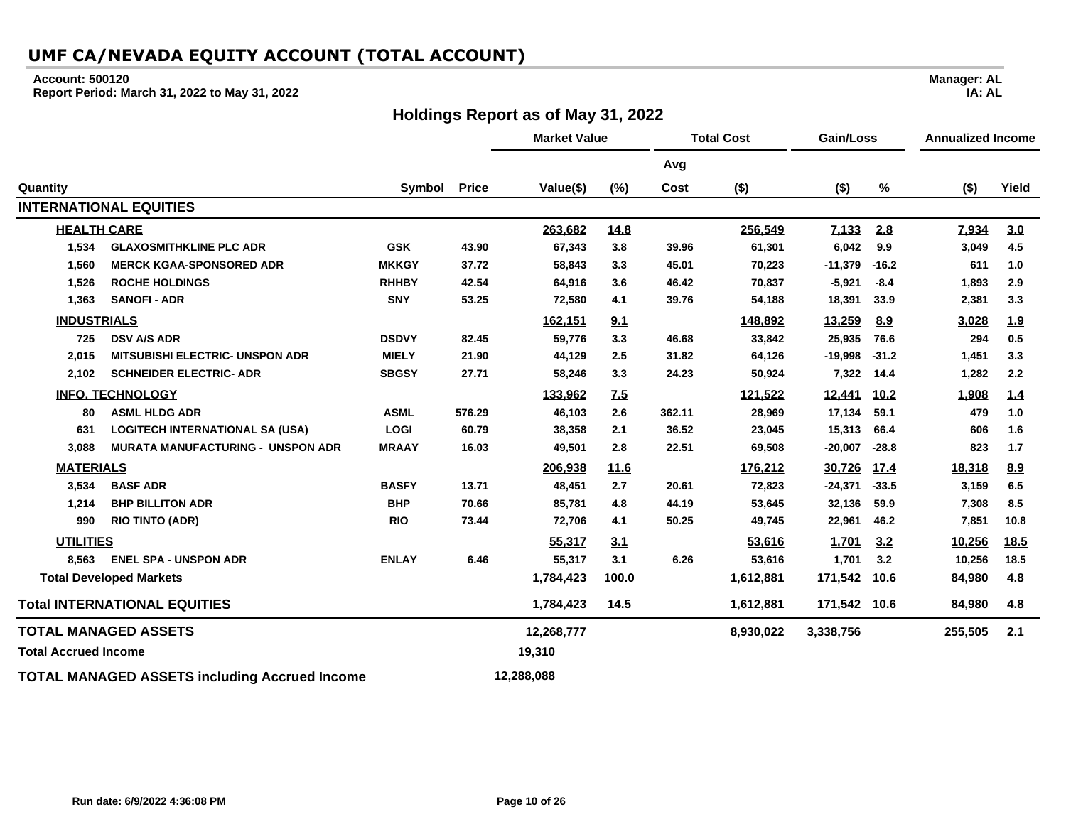#### **Account: 500120**

**Report Period: March 31, 2022 to May 31, 2022**

### **Holdings Report as of May 31, 2022**

**Manager: AL IA: AL**

**Market Value Total Cost Gain/Loss Annualized Income Avg Quantity Symbol Price Value(\$) (%) Cost (\$) (\$) % (\$) Yield INTERNATIONAL EQUITIES HEALTH CARE 263,682 14.8 256,549 7,133 2.8 7,934 3.0 1,534 GLAXOSMITHKLINE PLC ADR GSK 43.90 67,343 3.8 39.96 61,301 6,042 9.9 3,049 4.5 1,560 MERCK KGAA-SPONSORED ADR MKKGY 37.72 58,843 3.3 45.01 70,223 -11,379 -16.2 611 1.0 1,526 ROCHE HOLDINGS RHHBY 42.54 64,916 3.6 46.42 70,837 -5,921 -8.4 1,893 2.9 1,363 SANOFI - ADR SNY 53.25 72,580 4.1 39.76 54,188 18,391 33.9 2,381 3.3 INDUSTRIALS 162,151 9.1 148,892 13,259 8.9 3,028 1.9 725 DSV A/S ADR DSDVY 82.45 59,776 3.3 46.68 33,842 25,935 76.6 294 0.5 2,015 MITSUBISHI ELECTRIC- UNSPON ADR MIELY 21.90 44,129 2.5 31.82 64,126 -19,998 -31.2 1,451 3.3 2,102 SCHNEIDER ELECTRIC- ADR SBGSY 27.71 58,246 3.3 24.23 50,924 7,322 14.4 1,282 2.2 INFO. TECHNOLOGY 133,962 7.5 121,522 12,441 10.2 1,908 1.4 80 ASML HLDG ADR ASML 576.29 46,103 2.6 362.11 28,969 17,134 59.1 479 1.0 631 LOGITECH INTERNATIONAL SA (USA) LOGI 60.79 38,358 2.1 36.52 23,045 15,313 66.4 606 1.6 3,088 MURATA MANUFACTURING - UNSPON ADR MRAAY 16.03 49,501 2.8 22.51 69,508 -20,007 -28.8 823 1.7 MATERIALS 206,938 11.6 176,212 30,726 17.4 18,318 8.9 3,534 BASF ADR BASFY 13.71 48,451 2.7 20.61 72,823 -24,371 -33.5 3,159 6.5 1,214 BHP BILLITON ADR BHP 70.66 85,781 4.8 44.19 53,645 32,136 59.9 7,308 8.5 990 RIO TINTO (ADR) RIO 73.44 72,706 4.1 50.25 49,745 22,961 46.2 7,851 10.8 UTILITIES 55,317 3.1 53,616 1,701 3.2 10,256 18.5 8,563 ENEL SPA - UNSPON ADR ENLAY 6.46 55,317 3.1 6.26 53,616 1,701 3.2 10,256 18.5 Total Developed Markets 1,784,423 100.0 1,612,881 171,542 10.6 84,980 4.8 Total INTERNATIONAL EQUITIES 1,784,423 14.5 1,612,881 171,542 10.6 84,980 4.8 TOTAL MANAGED ASSETS 12,268,777 8,930,022 3,338,756 255,505 2.1 Total Accrued Income 19,310 TOTAL MANAGED ASSETS including Accrued Income 12,288,088**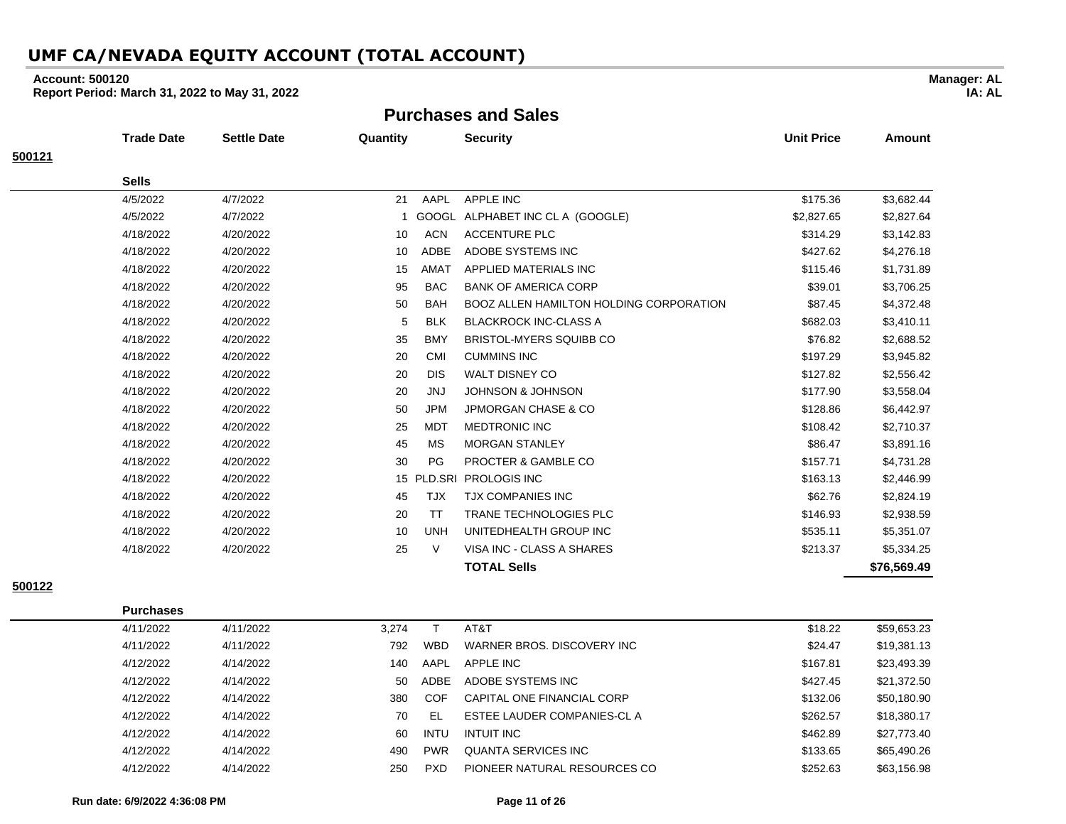### **Account: 500120**

**Report Period: March 31, 2022 to May 31, 2022**

**Purchases and Sales**

| <b>Trade Date</b> | <b>Settle Date</b> | Quantity |            | <b>Security</b>                                | <b>Unit Price</b>                           | <b>Amount</b> |
|-------------------|--------------------|----------|------------|------------------------------------------------|---------------------------------------------|---------------|
|                   |                    |          |            |                                                |                                             |               |
| <b>Sells</b>      |                    |          |            |                                                |                                             |               |
| 4/5/2022          | 4/7/2022           | 21       | AAPL       | <b>APPLE INC</b>                               | \$175.36                                    | \$3,682.44    |
| 4/5/2022          | 4/7/2022           |          |            |                                                | \$2,827.65                                  | \$2,827.64    |
| 4/18/2022         | 4/20/2022          | 10       | <b>ACN</b> | <b>ACCENTURE PLC</b>                           | \$314.29                                    | \$3,142.83    |
| 4/18/2022         | 4/20/2022          | 10       | ADBE       | ADOBE SYSTEMS INC                              | \$427.62                                    | \$4,276.18    |
| 4/18/2022         | 4/20/2022          | 15       | AMAT       | APPLIED MATERIALS INC                          | \$115.46                                    | \$1,731.89    |
| 4/18/2022         | 4/20/2022          | 95       | <b>BAC</b> | <b>BANK OF AMERICA CORP</b>                    | \$39.01                                     | \$3,706.25    |
| 4/18/2022         | 4/20/2022          | 50       | <b>BAH</b> | <b>BOOZ ALLEN HAMILTON HOLDING CORPORATION</b> | \$87.45                                     | \$4,372.48    |
| 4/18/2022         | 4/20/2022          | 5        | <b>BLK</b> | <b>BLACKROCK INC-CLASS A</b>                   | \$682.03                                    | \$3,410.11    |
| 4/18/2022         | 4/20/2022          | 35       | <b>BMY</b> | <b>BRISTOL-MYERS SQUIBB CO</b>                 | \$76.82                                     | \$2,688.52    |
| 4/18/2022         | 4/20/2022          | 20       | <b>CMI</b> | <b>CUMMINS INC</b>                             | \$197.29                                    | \$3,945.82    |
| 4/18/2022         | 4/20/2022          | 20       | <b>DIS</b> | WALT DISNEY CO                                 | \$127.82                                    | \$2,556.42    |
| 4/18/2022         | 4/20/2022          | 20       | <b>JNJ</b> | <b>JOHNSON &amp; JOHNSON</b>                   | \$177.90                                    | \$3,558.04    |
| 4/18/2022         | 4/20/2022          | 50       | <b>JPM</b> | <b>JPMORGAN CHASE &amp; CO</b>                 | \$128.86                                    | \$6,442.97    |
| 4/18/2022         | 4/20/2022          | 25       | <b>MDT</b> | <b>MEDTRONIC INC</b>                           | \$108.42                                    | \$2,710.37    |
| 4/18/2022         | 4/20/2022          | 45       | МS         | <b>MORGAN STANLEY</b>                          | \$86.47                                     | \$3,891.16    |
| 4/18/2022         | 4/20/2022          | 30       | <b>PG</b>  | PROCTER & GAMBLE CO                            | \$157.71                                    | \$4,731.28    |
| 4/18/2022         | 4/20/2022          |          |            | <b>PROLOGIS INC</b>                            | \$163.13                                    | \$2,446.99    |
| 4/18/2022         | 4/20/2022          | 45       | <b>TJX</b> | <b>TJX COMPANIES INC</b>                       | \$62.76                                     | \$2,824.19    |
| 4/18/2022         | 4/20/2022          | 20       | <b>TT</b>  | TRANE TECHNOLOGIES PLC                         | \$146.93                                    | \$2,938.59    |
| 4/18/2022         | 4/20/2022          | 10       | <b>UNH</b> | UNITEDHEALTH GROUP INC                         | \$535.11                                    | \$5,351.07    |
| 4/18/2022         | 4/20/2022          | 25       | $\vee$     | VISA INC - CLASS A SHARES                      | \$213.37                                    | \$5,334.25    |
|                   |                    |          |            | <b>TOTAL Sells</b>                             |                                             | \$76,569.49   |
|                   |                    |          |            | 15                                             | GOOGL ALPHABET INC CL A (GOOGLE)<br>PLD.SRI |               |

**500122**

| 4/11/2022 | 4/11/2022 | 3.274 |            | AT&T                         | \$18.22  | \$59,653.23 |
|-----------|-----------|-------|------------|------------------------------|----------|-------------|
| 4/11/2022 | 4/11/2022 | 792   | <b>WBD</b> | WARNER BROS, DISCOVERY INC.  | \$24.47  | \$19,381.13 |
| 4/12/2022 | 4/14/2022 | 140   | AAPL       | APPLE INC                    | \$167.81 | \$23,493.39 |
| 4/12/2022 | 4/14/2022 | 50    | ADBE       | ADOBE SYSTEMS INC            | \$427.45 | \$21,372.50 |
| 4/12/2022 | 4/14/2022 | 380   | COF        | CAPITAL ONE FINANCIAL CORP   | \$132.06 | \$50,180.90 |
| 4/12/2022 | 4/14/2022 | 70    | EL         | ESTEE LAUDER COMPANIES-CL A  | \$262.57 | \$18,380.17 |
| 4/12/2022 | 4/14/2022 | 60    | INTU       | INTUIT INC                   | \$462.89 | \$27,773.40 |
| 4/12/2022 | 4/14/2022 | 490   | <b>PWR</b> | QUANTA SERVICES INC          | \$133.65 | \$65,490.26 |
| 4/12/2022 | 4/14/2022 | 250   | <b>PXD</b> | PIONEER NATURAL RESOURCES CO | \$252.63 | \$63.156.98 |

**Purchases**

**Manager: AL**

**IA: AL**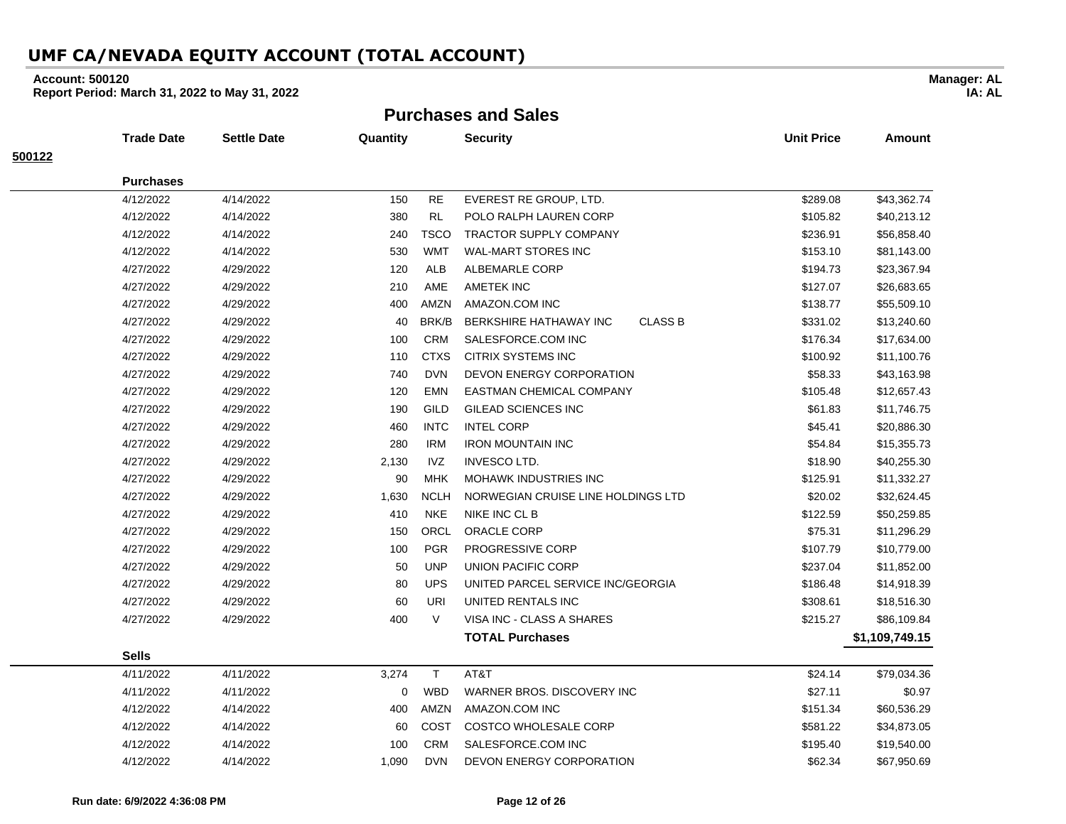### **Account: 500120**

**Report Period: March 31, 2022 to May 31, 2022**

**Purchases and Sales**

|        | <b>Trade Date</b> | <b>Settle Date</b> | Quantity |             | <b>Security</b>                          | <b>Unit Price</b> | Amount         |
|--------|-------------------|--------------------|----------|-------------|------------------------------------------|-------------------|----------------|
| 500122 |                   |                    |          |             |                                          |                   |                |
|        | <b>Purchases</b>  |                    |          |             |                                          |                   |                |
|        | 4/12/2022         | 4/14/2022          | 150      | <b>RE</b>   | EVEREST RE GROUP, LTD.                   | \$289.08          | \$43,362.74    |
|        | 4/12/2022         | 4/14/2022          | 380      | <b>RL</b>   | POLO RALPH LAUREN CORP                   | \$105.82          | \$40,213.12    |
|        | 4/12/2022         | 4/14/2022          | 240      | <b>TSCO</b> | <b>TRACTOR SUPPLY COMPANY</b>            | \$236.91          | \$56,858.40    |
|        | 4/12/2022         | 4/14/2022          | 530      | WMT         | <b>WAL-MART STORES INC</b>               | \$153.10          | \$81,143.00    |
|        | 4/27/2022         | 4/29/2022          | 120      | ALB         | ALBEMARLE CORP                           | \$194.73          | \$23,367.94    |
|        | 4/27/2022         | 4/29/2022          | 210      | AME         | AMETEK INC                               | \$127.07          | \$26,683.65    |
|        | 4/27/2022         | 4/29/2022          | 400      | AMZN        | AMAZON.COM INC                           | \$138.77          | \$55,509.10    |
|        | 4/27/2022         | 4/29/2022          | 40       | BRK/B       | <b>CLASS B</b><br>BERKSHIRE HATHAWAY INC | \$331.02          | \$13,240.60    |
|        | 4/27/2022         | 4/29/2022          | 100      | <b>CRM</b>  | SALESFORCE.COM INC                       | \$176.34          | \$17,634.00    |
|        | 4/27/2022         | 4/29/2022          | 110      | <b>CTXS</b> | <b>CITRIX SYSTEMS INC</b>                | \$100.92          | \$11,100.76    |
|        | 4/27/2022         | 4/29/2022          | 740      | <b>DVN</b>  | DEVON ENERGY CORPORATION                 | \$58.33           | \$43,163.98    |
|        | 4/27/2022         | 4/29/2022          | 120      | <b>EMN</b>  | EASTMAN CHEMICAL COMPANY                 | \$105.48          | \$12,657.43    |
|        | 4/27/2022         | 4/29/2022          | 190      | <b>GILD</b> | GILEAD SCIENCES INC                      | \$61.83           | \$11,746.75    |
|        | 4/27/2022         | 4/29/2022          | 460      | <b>INTC</b> | <b>INTEL CORP</b>                        | \$45.41           | \$20,886.30    |
|        | 4/27/2022         | 4/29/2022          | 280      | <b>IRM</b>  | <b>IRON MOUNTAIN INC</b>                 | \$54.84           | \$15,355.73    |
|        | 4/27/2022         | 4/29/2022          | 2,130    | IVZ         | <b>INVESCO LTD.</b>                      | \$18.90           | \$40,255.30    |
|        | 4/27/2022         | 4/29/2022          | 90       | MHK         | <b>MOHAWK INDUSTRIES INC</b>             | \$125.91          | \$11,332.27    |
|        | 4/27/2022         | 4/29/2022          | 1,630    | <b>NCLH</b> | NORWEGIAN CRUISE LINE HOLDINGS LTD       | \$20.02           | \$32,624.45    |
|        | 4/27/2022         | 4/29/2022          | 410      | <b>NKE</b>  | NIKE INC CL B                            | \$122.59          | \$50,259.85    |
|        | 4/27/2022         | 4/29/2022          | 150      | ORCL        | ORACLE CORP                              | \$75.31           | \$11,296.29    |
|        | 4/27/2022         | 4/29/2022          | 100      | <b>PGR</b>  | <b>PROGRESSIVE CORP</b>                  | \$107.79          | \$10,779.00    |
|        | 4/27/2022         | 4/29/2022          | 50       | <b>UNP</b>  | UNION PACIFIC CORP                       | \$237.04          | \$11,852.00    |
|        | 4/27/2022         | 4/29/2022          | 80       | <b>UPS</b>  | UNITED PARCEL SERVICE INC/GEORGIA        | \$186.48          | \$14,918.39    |
|        | 4/27/2022         | 4/29/2022          | 60       | <b>URI</b>  | UNITED RENTALS INC                       | \$308.61          | \$18,516.30    |
|        | 4/27/2022         | 4/29/2022          | 400      | $\vee$      | VISA INC - CLASS A SHARES                | \$215.27          | \$86,109.84    |
|        |                   |                    |          |             | <b>TOTAL Purchases</b>                   |                   | \$1,109,749.15 |
|        | <b>Sells</b>      |                    |          |             |                                          |                   |                |
|        | 4/11/2022         | 4/11/2022          | 3,274    | $\mathsf T$ | AT&T                                     | \$24.14           | \$79,034.36    |
|        | 4/11/2022         | 4/11/2022          | 0        | <b>WBD</b>  | WARNER BROS. DISCOVERY INC               | \$27.11           | \$0.97         |
|        | 4/12/2022         | 4/14/2022          | 400      | AMZN        | AMAZON.COM INC                           | \$151.34          | \$60,536.29    |
|        | 4/12/2022         | 4/14/2022          | 60       | <b>COST</b> | <b>COSTCO WHOLESALE CORP</b>             | \$581.22          | \$34,873.05    |
|        | 4/12/2022         | 4/14/2022          | 100      | <b>CRM</b>  | SALESFORCE.COM INC                       | \$195.40          | \$19,540.00    |
|        | 4/12/2022         | 4/14/2022          | 1,090    | <b>DVN</b>  | DEVON ENERGY CORPORATION                 | \$62.34           | \$67,950.69    |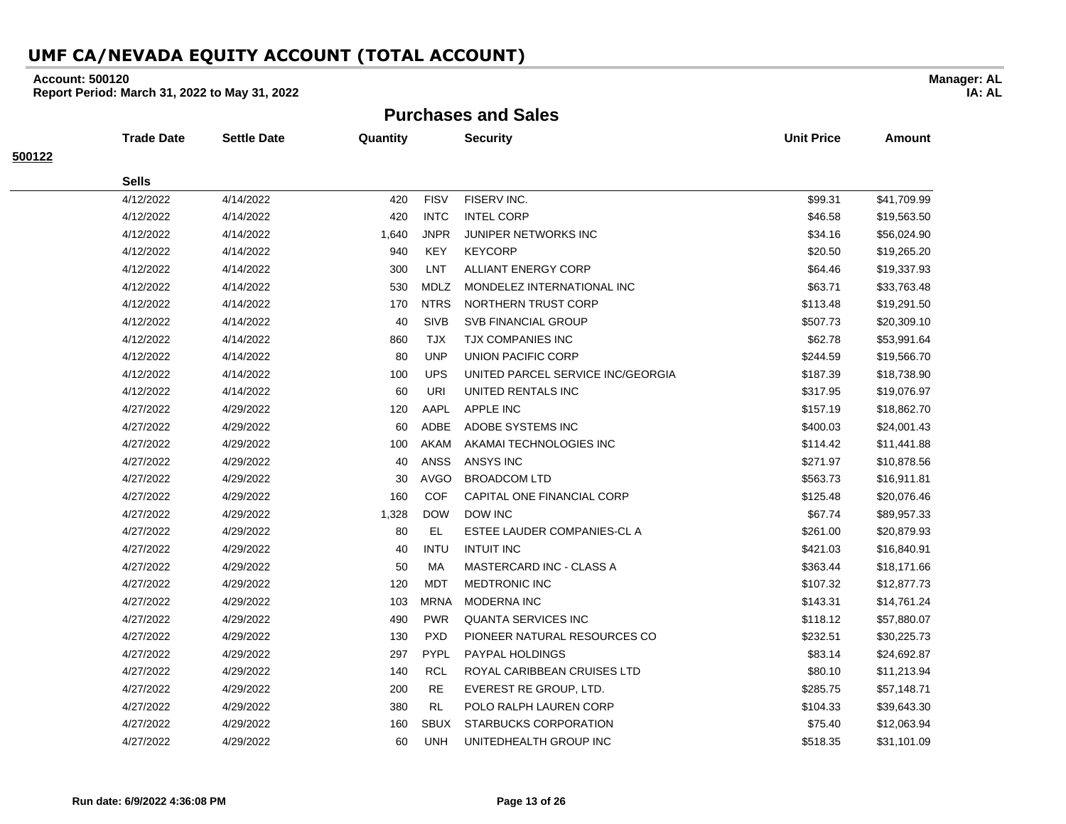### **Account: 500120**

**Report Period: March 31, 2022 to May 31, 2022**

**Purchases and Sales**

|        | <b>Trade Date</b> | Settle Date | Quantity |             | <b>Security</b>                   | <b>Unit Price</b> | Amount      |
|--------|-------------------|-------------|----------|-------------|-----------------------------------|-------------------|-------------|
| 500122 |                   |             |          |             |                                   |                   |             |
|        | <b>Sells</b>      |             |          |             |                                   |                   |             |
|        | 4/12/2022         | 4/14/2022   | 420      | <b>FISV</b> | FISERV INC.                       | \$99.31           | \$41,709.99 |
|        | 4/12/2022         | 4/14/2022   | 420      | <b>INTC</b> | <b>INTEL CORP</b>                 | \$46.58           | \$19,563.50 |
|        | 4/12/2022         | 4/14/2022   | 1,640    | <b>JNPR</b> | <b>JUNIPER NETWORKS INC</b>       | \$34.16           | \$56,024.90 |
|        | 4/12/2022         | 4/14/2022   | 940      | KEY         | <b>KEYCORP</b>                    | \$20.50           | \$19,265.20 |
|        | 4/12/2022         | 4/14/2022   | 300      | LNT         | <b>ALLIANT ENERGY CORP</b>        | \$64.46           | \$19,337.93 |
|        | 4/12/2022         | 4/14/2022   | 530      | <b>MDLZ</b> | MONDELEZ INTERNATIONAL INC        | \$63.71           | \$33,763.48 |
|        | 4/12/2022         | 4/14/2022   | 170      | <b>NTRS</b> | NORTHERN TRUST CORP               | \$113.48          | \$19,291.50 |
|        | 4/12/2022         | 4/14/2022   | 40       | <b>SIVB</b> | <b>SVB FINANCIAL GROUP</b>        | \$507.73          | \$20,309.10 |
|        | 4/12/2022         | 4/14/2022   | 860      | TJX         | <b>TJX COMPANIES INC</b>          | \$62.78           | \$53,991.64 |
|        | 4/12/2022         | 4/14/2022   | 80       | <b>UNP</b>  | UNION PACIFIC CORP                | \$244.59          | \$19,566.70 |
|        | 4/12/2022         | 4/14/2022   | 100      | <b>UPS</b>  | UNITED PARCEL SERVICE INC/GEORGIA | \$187.39          | \$18,738.90 |
|        | 4/12/2022         | 4/14/2022   | 60       | <b>URI</b>  | UNITED RENTALS INC                | \$317.95          | \$19,076.97 |
|        | 4/27/2022         | 4/29/2022   | 120      | AAPL        | APPLE INC                         | \$157.19          | \$18,862.70 |
|        | 4/27/2022         | 4/29/2022   | 60       | ADBE        | ADOBE SYSTEMS INC                 | \$400.03          | \$24,001.43 |
|        | 4/27/2022         | 4/29/2022   | 100      | AKAM        | AKAMAI TECHNOLOGIES INC           | \$114.42          | \$11,441.88 |
|        | 4/27/2022         | 4/29/2022   | 40       | ANSS        | ANSYS INC                         | \$271.97          | \$10,878.56 |
|        | 4/27/2022         | 4/29/2022   | 30       | <b>AVGO</b> | <b>BROADCOM LTD</b>               | \$563.73          | \$16,911.81 |
|        | 4/27/2022         | 4/29/2022   | 160      | <b>COF</b>  | CAPITAL ONE FINANCIAL CORP        | \$125.48          | \$20,076.46 |
|        | 4/27/2022         | 4/29/2022   | 1,328    | <b>DOW</b>  | <b>DOW INC</b>                    | \$67.74           | \$89,957.33 |
|        | 4/27/2022         | 4/29/2022   | 80       | EL          | ESTEE LAUDER COMPANIES-CL A       | \$261.00          | \$20,879.93 |
|        | 4/27/2022         | 4/29/2022   | 40       | <b>INTU</b> | <b>INTUIT INC</b>                 | \$421.03          | \$16,840.91 |
|        | 4/27/2022         | 4/29/2022   | 50       | MA          | <b>MASTERCARD INC - CLASS A</b>   | \$363.44          | \$18,171.66 |
|        | 4/27/2022         | 4/29/2022   | 120      | <b>MDT</b>  | <b>MEDTRONIC INC</b>              | \$107.32          | \$12,877.73 |
|        | 4/27/2022         | 4/29/2022   | 103      | <b>MRNA</b> | <b>MODERNA INC</b>                | \$143.31          | \$14,761.24 |
|        | 4/27/2022         | 4/29/2022   | 490      | <b>PWR</b>  | <b>QUANTA SERVICES INC</b>        | \$118.12          | \$57,880.07 |
|        | 4/27/2022         | 4/29/2022   | 130      | <b>PXD</b>  | PIONEER NATURAL RESOURCES CO      | \$232.51          | \$30,225.73 |
|        | 4/27/2022         | 4/29/2022   | 297      | <b>PYPL</b> | PAYPAL HOLDINGS                   | \$83.14           | \$24,692.87 |
|        | 4/27/2022         | 4/29/2022   | 140      | <b>RCL</b>  | ROYAL CARIBBEAN CRUISES LTD       | \$80.10           | \$11,213.94 |
|        | 4/27/2022         | 4/29/2022   | 200      | <b>RE</b>   | EVEREST RE GROUP, LTD.            | \$285.75          | \$57,148.71 |
|        | 4/27/2022         | 4/29/2022   | 380      | RL          | POLO RALPH LAUREN CORP            | \$104.33          | \$39,643.30 |
|        | 4/27/2022         | 4/29/2022   | 160      | <b>SBUX</b> | STARBUCKS CORPORATION             | \$75.40           | \$12,063.94 |
|        | 4/27/2022         | 4/29/2022   | 60       | <b>UNH</b>  | UNITEDHEALTH GROUP INC            | \$518.35          | \$31,101.09 |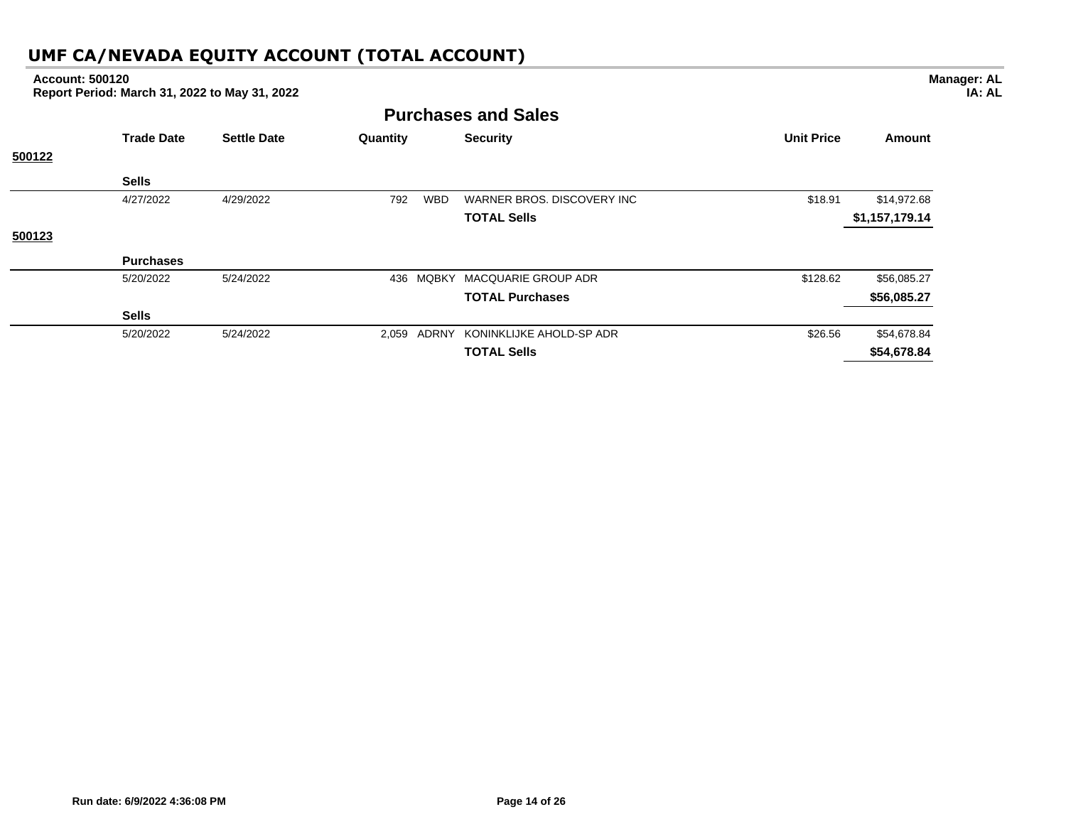## **Purchases and Sales Trade Date Settle Date Quantity Security Unit Price Amount 500122 Sells** 4/27/2022 4/29/2022 792 WBD WARNER BROS. DISCOVERY INC \$18.91 \$14,972.68 **TOTAL Sells \$1,157,179.14 500123 Purchases Account: 500120 Report Period: March 31, 2022 to May 31, 2022**

| <b>Purchases</b> |           |     |                                      |          |             |
|------------------|-----------|-----|--------------------------------------|----------|-------------|
| 5/20/2022        | 5/24/2022 | 436 | MQBKY MACQUARIE GROUP ADR            | \$128.62 | \$56,085.27 |
|                  |           |     | <b>TOTAL Purchases</b>               |          | \$56,085.27 |
| <b>Sells</b>     |           |     |                                      |          |             |
| 5/20/2022        | 5/24/2022 |     | 2,059 ADRNY KONINKLIJKE AHOLD-SP ADR | \$26.56  | \$54,678.84 |
|                  |           |     | <b>TOTAL Sells</b>                   |          | \$54,678.84 |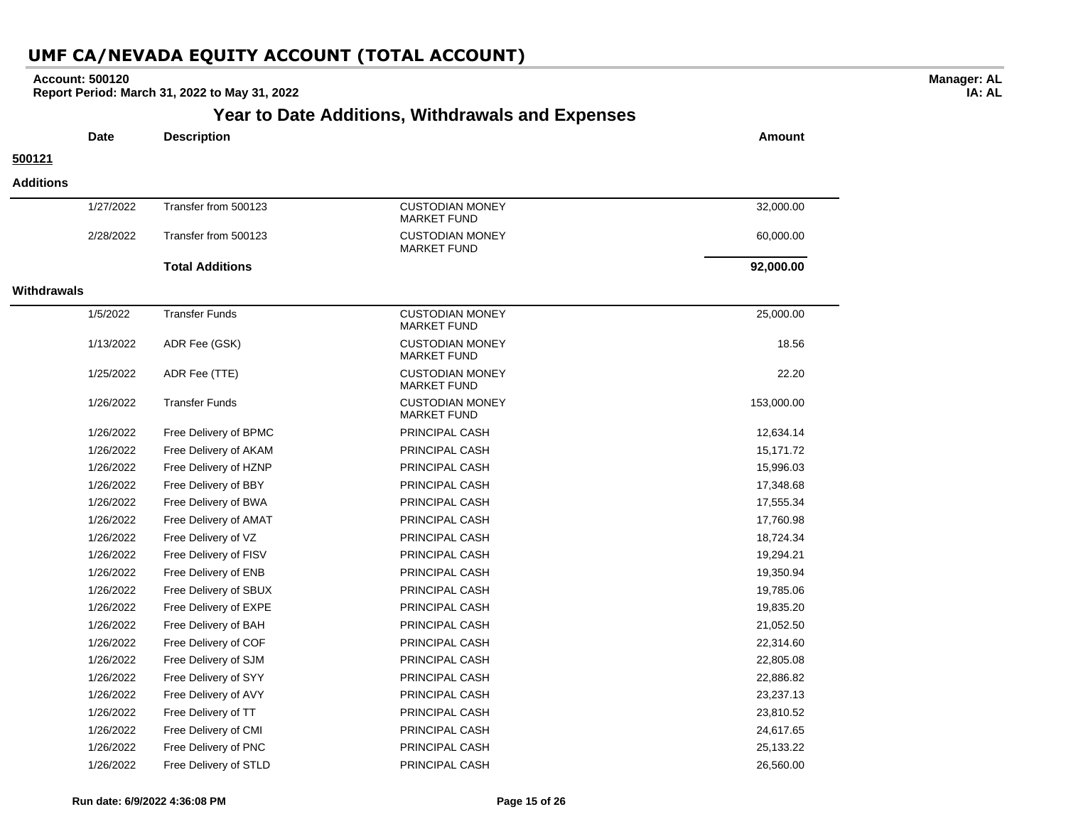### **Account: 500120**

 $\overline{a}$ 

 $\overline{\phantom{0}}$ 

**Report Period: March 31, 2022 to May 31, 2022**

## **Year to Date Additions, Withdrawals and Expenses**

**Manager: AL IA: AL**

|                    | <b>Date</b> | <b>Description</b>     |                                              | <b>Amount</b> |
|--------------------|-------------|------------------------|----------------------------------------------|---------------|
| 500121             |             |                        |                                              |               |
| <b>Additions</b>   |             |                        |                                              |               |
|                    | 1/27/2022   | Transfer from 500123   | <b>CUSTODIAN MONEY</b><br><b>MARKET FUND</b> | 32,000.00     |
|                    | 2/28/2022   | Transfer from 500123   | <b>CUSTODIAN MONEY</b><br><b>MARKET FUND</b> | 60,000.00     |
|                    |             | <b>Total Additions</b> |                                              | 92,000.00     |
| <b>Withdrawals</b> |             |                        |                                              |               |
|                    | 1/5/2022    | <b>Transfer Funds</b>  | <b>CUSTODIAN MONEY</b><br><b>MARKET FUND</b> | 25,000.00     |
|                    | 1/13/2022   | ADR Fee (GSK)          | <b>CUSTODIAN MONEY</b><br><b>MARKET FUND</b> | 18.56         |
|                    | 1/25/2022   | ADR Fee (TTE)          | <b>CUSTODIAN MONEY</b><br><b>MARKET FUND</b> | 22.20         |
|                    | 1/26/2022   | <b>Transfer Funds</b>  | <b>CUSTODIAN MONEY</b><br><b>MARKET FUND</b> | 153,000.00    |
|                    | 1/26/2022   | Free Delivery of BPMC  | PRINCIPAL CASH                               | 12,634.14     |
|                    | 1/26/2022   | Free Delivery of AKAM  | PRINCIPAL CASH                               | 15,171.72     |
|                    | 1/26/2022   | Free Delivery of HZNP  | PRINCIPAL CASH                               | 15,996.03     |
|                    | 1/26/2022   | Free Delivery of BBY   | PRINCIPAL CASH                               | 17,348.68     |
|                    | 1/26/2022   | Free Delivery of BWA   | PRINCIPAL CASH                               | 17,555.34     |
|                    | 1/26/2022   | Free Delivery of AMAT  | PRINCIPAL CASH                               | 17,760.98     |
|                    | 1/26/2022   | Free Delivery of VZ    | PRINCIPAL CASH                               | 18,724.34     |
|                    | 1/26/2022   | Free Delivery of FISV  | PRINCIPAL CASH                               | 19,294.21     |
|                    | 1/26/2022   | Free Delivery of ENB   | PRINCIPAL CASH                               | 19,350.94     |
|                    | 1/26/2022   | Free Delivery of SBUX  | PRINCIPAL CASH                               | 19,785.06     |
|                    | 1/26/2022   | Free Delivery of EXPE  | PRINCIPAL CASH                               | 19,835.20     |
|                    | 1/26/2022   | Free Delivery of BAH   | PRINCIPAL CASH                               | 21,052.50     |
|                    | 1/26/2022   | Free Delivery of COF   | PRINCIPAL CASH                               | 22,314.60     |
|                    | 1/26/2022   | Free Delivery of SJM   | PRINCIPAL CASH                               | 22,805.08     |
|                    | 1/26/2022   | Free Delivery of SYY   | PRINCIPAL CASH                               | 22,886.82     |
|                    | 1/26/2022   | Free Delivery of AVY   | PRINCIPAL CASH                               | 23,237.13     |
|                    | 1/26/2022   | Free Delivery of TT    | PRINCIPAL CASH                               | 23,810.52     |
|                    | 1/26/2022   | Free Delivery of CMI   | PRINCIPAL CASH                               | 24,617.65     |
|                    | 1/26/2022   | Free Delivery of PNC   | <b>PRINCIPAL CASH</b>                        | 25,133.22     |

1/26/2022 Free Delivery of STLD PRINCIPAL CASH 26,560.00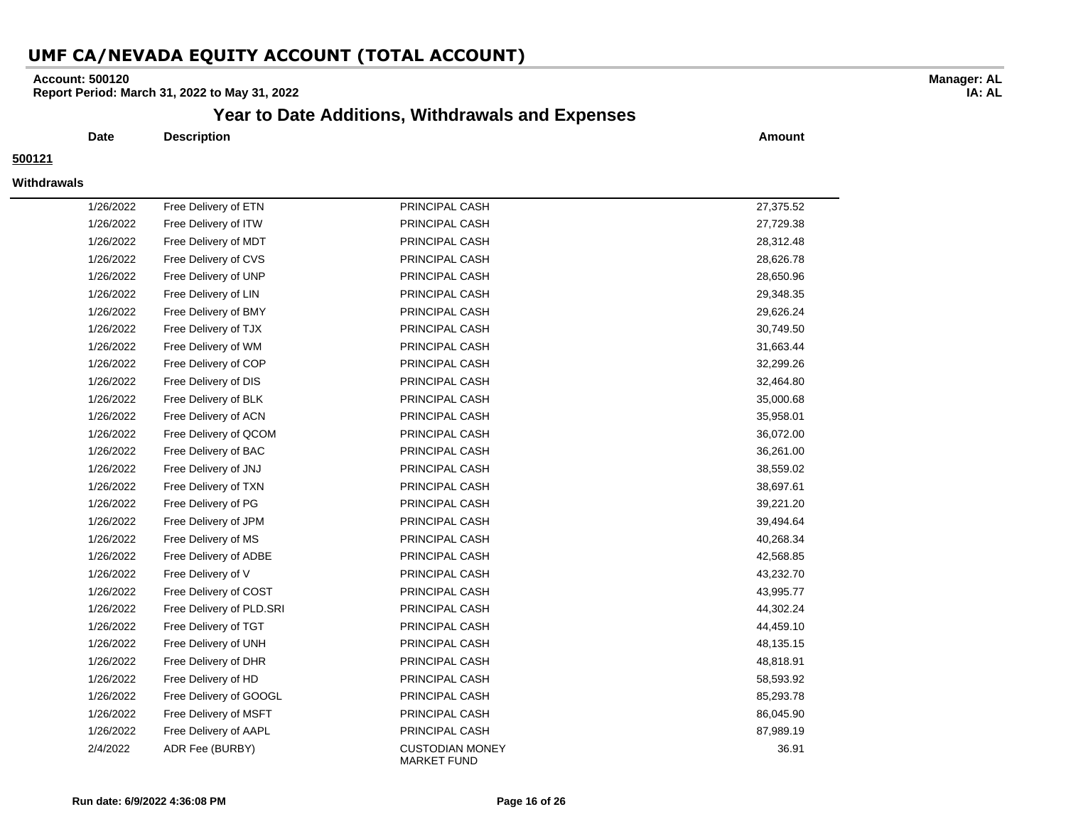### **Account: 500120**

**Report Period: March 31, 2022 to May 31, 2022**

### **Year to Date Additions, Withdrawals and Expenses**

**Date Description Amount**

#### **500121**

#### **Withdrawals**

| 1/26/2022 | Free Delivery of ETN     | PRINCIPAL CASH                               | 27,375.52 |
|-----------|--------------------------|----------------------------------------------|-----------|
| 1/26/2022 | Free Delivery of ITW     | PRINCIPAL CASH                               | 27,729.38 |
| 1/26/2022 | Free Delivery of MDT     | PRINCIPAL CASH                               | 28,312.48 |
| 1/26/2022 | Free Delivery of CVS     | PRINCIPAL CASH                               | 28,626.78 |
| 1/26/2022 | Free Delivery of UNP     | PRINCIPAL CASH                               | 28,650.96 |
| 1/26/2022 | Free Delivery of LIN     | PRINCIPAL CASH                               | 29,348.35 |
| 1/26/2022 | Free Delivery of BMY     | PRINCIPAL CASH                               | 29,626.24 |
| 1/26/2022 | Free Delivery of TJX     | PRINCIPAL CASH                               | 30,749.50 |
| 1/26/2022 | Free Delivery of WM      | PRINCIPAL CASH                               | 31,663.44 |
| 1/26/2022 | Free Delivery of COP     | PRINCIPAL CASH                               | 32,299.26 |
| 1/26/2022 | Free Delivery of DIS     | PRINCIPAL CASH                               | 32,464.80 |
| 1/26/2022 | Free Delivery of BLK     | PRINCIPAL CASH                               | 35,000.68 |
| 1/26/2022 | Free Delivery of ACN     | PRINCIPAL CASH                               | 35,958.01 |
| 1/26/2022 | Free Delivery of QCOM    | PRINCIPAL CASH                               | 36,072.00 |
| 1/26/2022 | Free Delivery of BAC     | PRINCIPAL CASH                               | 36,261.00 |
| 1/26/2022 | Free Delivery of JNJ     | PRINCIPAL CASH                               | 38,559.02 |
| 1/26/2022 | Free Delivery of TXN     | PRINCIPAL CASH                               | 38,697.61 |
| 1/26/2022 | Free Delivery of PG      | PRINCIPAL CASH                               | 39,221.20 |
| 1/26/2022 | Free Delivery of JPM     | PRINCIPAL CASH                               | 39,494.64 |
| 1/26/2022 | Free Delivery of MS      | PRINCIPAL CASH                               | 40,268.34 |
| 1/26/2022 | Free Delivery of ADBE    | PRINCIPAL CASH                               | 42,568.85 |
| 1/26/2022 | Free Delivery of V       | PRINCIPAL CASH                               | 43,232.70 |
| 1/26/2022 | Free Delivery of COST    | PRINCIPAL CASH                               | 43,995.77 |
| 1/26/2022 | Free Delivery of PLD.SRI | PRINCIPAL CASH                               | 44,302.24 |
| 1/26/2022 | Free Delivery of TGT     | PRINCIPAL CASH                               | 44,459.10 |
| 1/26/2022 | Free Delivery of UNH     | PRINCIPAL CASH                               | 48,135.15 |
| 1/26/2022 | Free Delivery of DHR     | PRINCIPAL CASH                               | 48,818.91 |
| 1/26/2022 | Free Delivery of HD      | PRINCIPAL CASH                               | 58,593.92 |
| 1/26/2022 | Free Delivery of GOOGL   | PRINCIPAL CASH                               | 85,293.78 |
| 1/26/2022 | Free Delivery of MSFT    | PRINCIPAL CASH                               | 86,045.90 |
| 1/26/2022 | Free Delivery of AAPL    | PRINCIPAL CASH                               | 87,989.19 |
| 2/4/2022  | ADR Fee (BURBY)          | <b>CUSTODIAN MONEY</b><br><b>MARKET FUND</b> | 36.91     |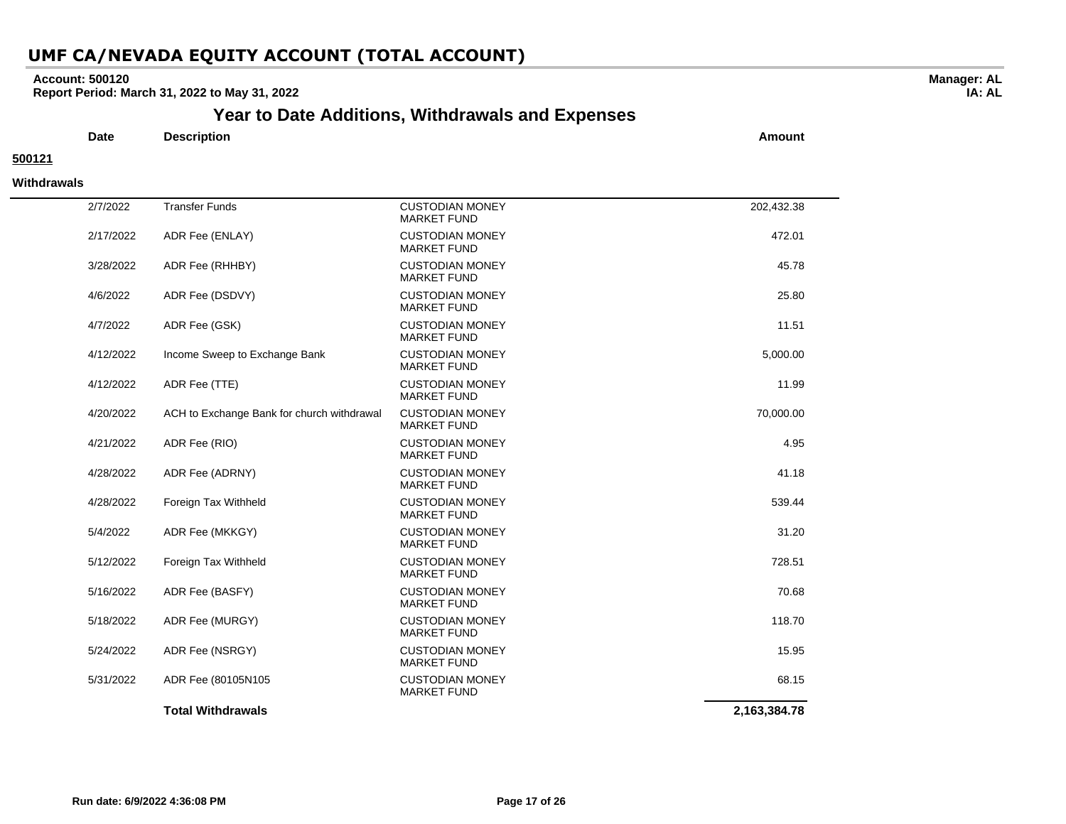### **Account: 500120**

**Report Period: March 31, 2022 to May 31, 2022**

## **Year to Date Additions, Withdrawals and Expenses**

**Date Description Amount**

### **500121**

#### **Withdrawals**

| 2/7/2022  | <b>Transfer Funds</b>                      | <b>CUSTODIAN MONEY</b><br><b>MARKET FUND</b> | 202,432.38   |
|-----------|--------------------------------------------|----------------------------------------------|--------------|
| 2/17/2022 | ADR Fee (ENLAY)                            | <b>CUSTODIAN MONEY</b><br><b>MARKET FUND</b> | 472.01       |
| 3/28/2022 | ADR Fee (RHHBY)                            | <b>CUSTODIAN MONEY</b><br><b>MARKET FUND</b> | 45.78        |
| 4/6/2022  | ADR Fee (DSDVY)                            | <b>CUSTODIAN MONEY</b><br><b>MARKET FUND</b> | 25.80        |
| 4/7/2022  | ADR Fee (GSK)                              | <b>CUSTODIAN MONEY</b><br><b>MARKET FUND</b> | 11.51        |
| 4/12/2022 | Income Sweep to Exchange Bank              | <b>CUSTODIAN MONEY</b><br><b>MARKET FUND</b> | 5,000.00     |
| 4/12/2022 | ADR Fee (TTE)                              | <b>CUSTODIAN MONEY</b><br><b>MARKET FUND</b> | 11.99        |
| 4/20/2022 | ACH to Exchange Bank for church withdrawal | <b>CUSTODIAN MONEY</b><br><b>MARKET FUND</b> | 70,000.00    |
| 4/21/2022 | ADR Fee (RIO)                              | <b>CUSTODIAN MONEY</b><br><b>MARKET FUND</b> | 4.95         |
| 4/28/2022 | ADR Fee (ADRNY)                            | <b>CUSTODIAN MONEY</b><br><b>MARKET FUND</b> | 41.18        |
| 4/28/2022 | Foreign Tax Withheld                       | <b>CUSTODIAN MONEY</b><br><b>MARKET FUND</b> | 539.44       |
| 5/4/2022  | ADR Fee (MKKGY)                            | <b>CUSTODIAN MONEY</b><br><b>MARKET FUND</b> | 31.20        |
| 5/12/2022 | Foreign Tax Withheld                       | <b>CUSTODIAN MONEY</b><br><b>MARKET FUND</b> | 728.51       |
| 5/16/2022 | ADR Fee (BASFY)                            | <b>CUSTODIAN MONEY</b><br><b>MARKET FUND</b> | 70.68        |
| 5/18/2022 | ADR Fee (MURGY)                            | <b>CUSTODIAN MONEY</b><br><b>MARKET FUND</b> | 118.70       |
| 5/24/2022 | ADR Fee (NSRGY)                            | <b>CUSTODIAN MONEY</b><br><b>MARKET FUND</b> | 15.95        |
| 5/31/2022 | ADR Fee (80105N105)                        | <b>CUSTODIAN MONEY</b><br><b>MARKET FUND</b> | 68.15        |
|           | <b>Total Withdrawals</b>                   |                                              | 2,163,384.78 |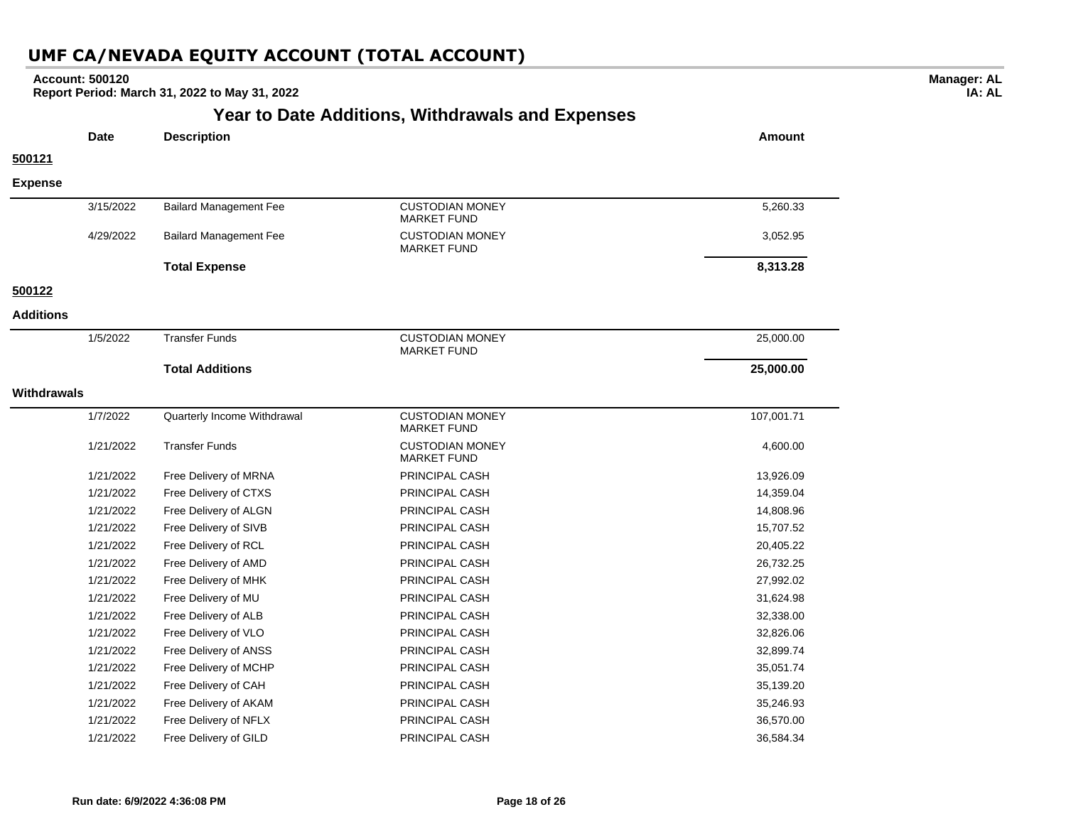| <b>Account: 500120</b><br>Report Period: March 31, 2022 to May 31, 2022 |             |                               |                                              |               |  |
|-------------------------------------------------------------------------|-------------|-------------------------------|----------------------------------------------|---------------|--|
| <b>Year to Date Additions, Withdrawals and Expenses</b>                 |             |                               |                                              |               |  |
|                                                                         | <b>Date</b> | <b>Description</b>            |                                              | <b>Amount</b> |  |
| 500121                                                                  |             |                               |                                              |               |  |
| <b>Expense</b>                                                          |             |                               |                                              |               |  |
|                                                                         | 3/15/2022   | <b>Bailard Management Fee</b> | <b>CUSTODIAN MONEY</b><br><b>MARKET FUND</b> | 5,260.33      |  |
|                                                                         | 4/29/2022   | <b>Bailard Management Fee</b> | <b>CUSTODIAN MONEY</b><br><b>MARKET FUND</b> | 3,052.95      |  |
|                                                                         |             | <b>Total Expense</b>          |                                              | 8,313.28      |  |
| 500122                                                                  |             |                               |                                              |               |  |
| <b>Additions</b>                                                        |             |                               |                                              |               |  |
|                                                                         | 1/5/2022    | <b>Transfer Funds</b>         | <b>CUSTODIAN MONEY</b><br><b>MARKET FUND</b> | 25,000.00     |  |
|                                                                         |             | <b>Total Additions</b>        |                                              | 25,000.00     |  |
| <b>Withdrawals</b>                                                      |             |                               |                                              |               |  |
|                                                                         | 1/7/2022    | Quarterly Income Withdrawal   | <b>CUSTODIAN MONEY</b><br><b>MARKET FUND</b> | 107,001.71    |  |
|                                                                         | 1/21/2022   | <b>Transfer Funds</b>         | <b>CUSTODIAN MONEY</b><br><b>MARKET FUND</b> | 4,600.00      |  |
|                                                                         | 1/21/2022   | Free Delivery of MRNA         | PRINCIPAL CASH                               | 13,926.09     |  |
|                                                                         | 1/21/2022   | Free Delivery of CTXS         | PRINCIPAL CASH                               | 14,359.04     |  |
|                                                                         | 1/21/2022   | Free Delivery of ALGN         | PRINCIPAL CASH                               | 14,808.96     |  |
|                                                                         | 1/21/2022   | Free Delivery of SIVB         | PRINCIPAL CASH                               | 15,707.52     |  |
|                                                                         | 1/21/2022   | Free Delivery of RCL          | PRINCIPAL CASH                               | 20,405.22     |  |
|                                                                         | 1/21/2022   | Free Delivery of AMD          | PRINCIPAL CASH                               | 26,732.25     |  |
|                                                                         | 1/21/2022   | Free Delivery of MHK          | PRINCIPAL CASH                               | 27,992.02     |  |
|                                                                         | 1/21/2022   | Free Delivery of MU           | PRINCIPAL CASH                               | 31,624.98     |  |
|                                                                         | 1/21/2022   | Free Delivery of ALB          | PRINCIPAL CASH                               | 32,338.00     |  |
|                                                                         | 1/21/2022   | Free Delivery of VLO          | PRINCIPAL CASH                               | 32,826.06     |  |
|                                                                         | 1/21/2022   | Free Delivery of ANSS         | PRINCIPAL CASH                               | 32,899.74     |  |
|                                                                         | 1/21/2022   | Free Delivery of MCHP         | PRINCIPAL CASH                               | 35,051.74     |  |
|                                                                         | 1/21/2022   | Free Delivery of CAH          | PRINCIPAL CASH                               | 35,139.20     |  |
|                                                                         | 1/21/2022   | Free Delivery of AKAM         | PRINCIPAL CASH                               | 35,246.93     |  |
|                                                                         | 1/21/2022   | Free Delivery of NFLX         | PRINCIPAL CASH                               | 36,570.00     |  |
|                                                                         | 1/21/2022   | Free Delivery of GILD         | PRINCIPAL CASH                               | 36,584.34     |  |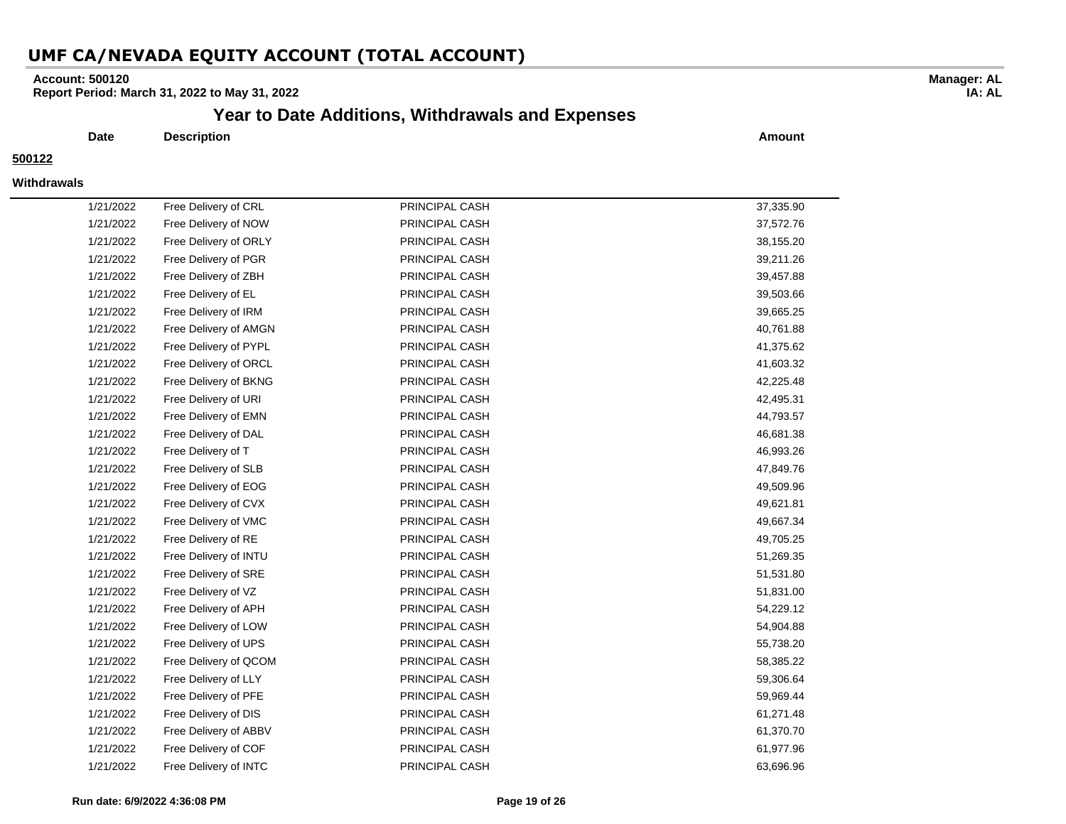### **Account: 500120**

**Report Period: March 31, 2022 to May 31, 2022**

### **Year to Date Additions, Withdrawals and Expenses**

**Date Description Amount**

### **500122**

#### **Withdrawals**

| 1/21/2022 | Free Delivery of CRL  | PRINCIPAL CASH | 37,335.90 |
|-----------|-----------------------|----------------|-----------|
| 1/21/2022 | Free Delivery of NOW  | PRINCIPAL CASH | 37,572.76 |
| 1/21/2022 | Free Delivery of ORLY | PRINCIPAL CASH | 38,155.20 |
| 1/21/2022 | Free Delivery of PGR  | PRINCIPAL CASH | 39,211.26 |
| 1/21/2022 | Free Delivery of ZBH  | PRINCIPAL CASH | 39,457.88 |
| 1/21/2022 | Free Delivery of EL   | PRINCIPAL CASH | 39,503.66 |
| 1/21/2022 | Free Delivery of IRM  | PRINCIPAL CASH | 39,665.25 |
| 1/21/2022 | Free Delivery of AMGN | PRINCIPAL CASH | 40,761.88 |
| 1/21/2022 | Free Delivery of PYPL | PRINCIPAL CASH | 41,375.62 |
| 1/21/2022 | Free Delivery of ORCL | PRINCIPAL CASH | 41,603.32 |
| 1/21/2022 | Free Delivery of BKNG | PRINCIPAL CASH | 42,225.48 |
| 1/21/2022 | Free Delivery of URI  | PRINCIPAL CASH | 42,495.31 |
| 1/21/2022 | Free Delivery of EMN  | PRINCIPAL CASH | 44,793.57 |
| 1/21/2022 | Free Delivery of DAL  | PRINCIPAL CASH | 46,681.38 |
| 1/21/2022 | Free Delivery of T    | PRINCIPAL CASH | 46,993.26 |
| 1/21/2022 | Free Delivery of SLB  | PRINCIPAL CASH | 47,849.76 |
| 1/21/2022 | Free Delivery of EOG  | PRINCIPAL CASH | 49,509.96 |
| 1/21/2022 | Free Delivery of CVX  | PRINCIPAL CASH | 49,621.81 |
| 1/21/2022 | Free Delivery of VMC  | PRINCIPAL CASH | 49,667.34 |
| 1/21/2022 | Free Delivery of RE   | PRINCIPAL CASH | 49,705.25 |
| 1/21/2022 | Free Delivery of INTU | PRINCIPAL CASH | 51,269.35 |
| 1/21/2022 | Free Delivery of SRE  | PRINCIPAL CASH | 51,531.80 |
| 1/21/2022 | Free Delivery of VZ   | PRINCIPAL CASH | 51,831.00 |
| 1/21/2022 | Free Delivery of APH  | PRINCIPAL CASH | 54,229.12 |
| 1/21/2022 | Free Delivery of LOW  | PRINCIPAL CASH | 54,904.88 |
| 1/21/2022 | Free Delivery of UPS  | PRINCIPAL CASH | 55,738.20 |
| 1/21/2022 | Free Delivery of QCOM | PRINCIPAL CASH | 58,385.22 |
| 1/21/2022 | Free Delivery of LLY  | PRINCIPAL CASH | 59,306.64 |
| 1/21/2022 | Free Delivery of PFE  | PRINCIPAL CASH | 59,969.44 |
| 1/21/2022 | Free Delivery of DIS  | PRINCIPAL CASH | 61,271.48 |
| 1/21/2022 | Free Delivery of ABBV | PRINCIPAL CASH | 61,370.70 |
| 1/21/2022 | Free Delivery of COF  | PRINCIPAL CASH | 61,977.96 |
| 1/21/2022 | Free Delivery of INTC | PRINCIPAL CASH | 63,696.96 |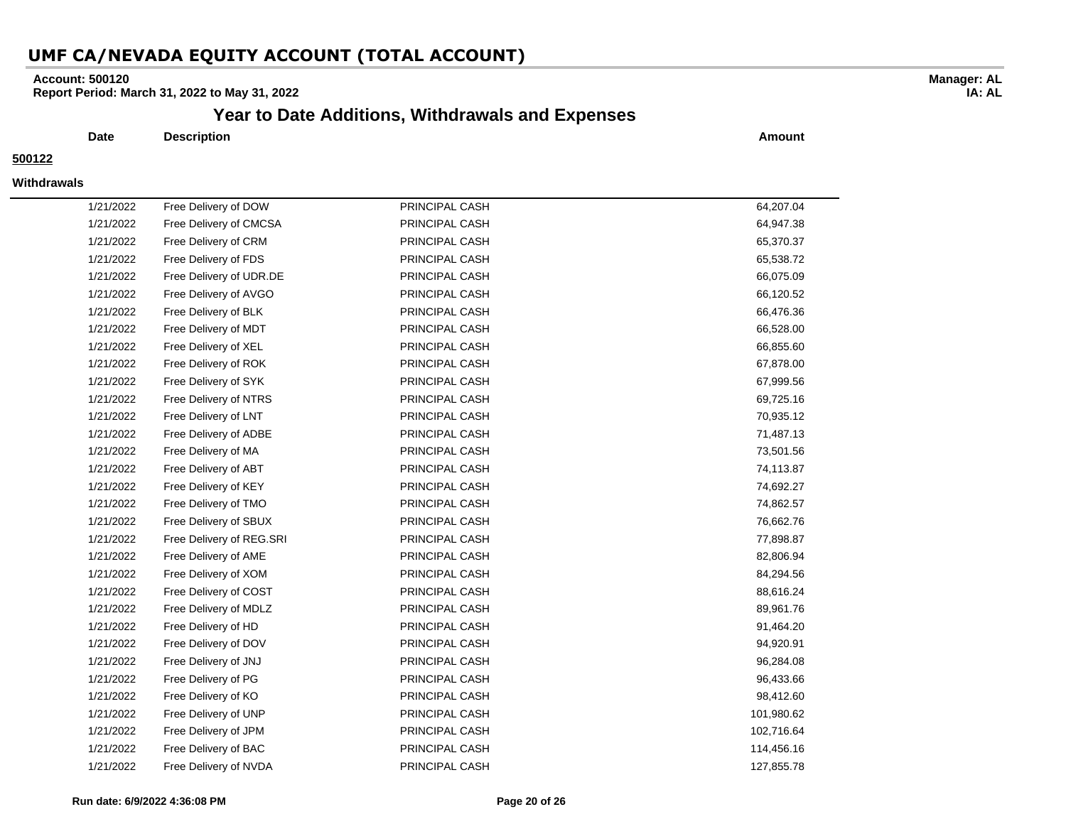### **Account: 500120**

**Report Period: March 31, 2022 to May 31, 2022**

# **Year to Date Additions, Withdrawals and Expenses**

**Date Description Amount**

### **500122**

#### **Withdrawals**

| 1/21/2022 | Free Delivery of DOW     | PRINCIPAL CASH | 64,207.04  |
|-----------|--------------------------|----------------|------------|
| 1/21/2022 | Free Delivery of CMCSA   | PRINCIPAL CASH | 64,947.38  |
| 1/21/2022 | Free Delivery of CRM     | PRINCIPAL CASH | 65,370.37  |
| 1/21/2022 | Free Delivery of FDS     | PRINCIPAL CASH | 65,538.72  |
| 1/21/2022 | Free Delivery of UDR.DE  | PRINCIPAL CASH | 66,075.09  |
| 1/21/2022 | Free Delivery of AVGO    | PRINCIPAL CASH | 66,120.52  |
| 1/21/2022 | Free Delivery of BLK     | PRINCIPAL CASH | 66,476.36  |
| 1/21/2022 | Free Delivery of MDT     | PRINCIPAL CASH | 66,528.00  |
| 1/21/2022 | Free Delivery of XEL     | PRINCIPAL CASH | 66,855.60  |
| 1/21/2022 | Free Delivery of ROK     | PRINCIPAL CASH | 67,878.00  |
| 1/21/2022 | Free Delivery of SYK     | PRINCIPAL CASH | 67,999.56  |
| 1/21/2022 | Free Delivery of NTRS    | PRINCIPAL CASH | 69,725.16  |
| 1/21/2022 | Free Delivery of LNT     | PRINCIPAL CASH | 70,935.12  |
| 1/21/2022 | Free Delivery of ADBE    | PRINCIPAL CASH | 71,487.13  |
| 1/21/2022 | Free Delivery of MA      | PRINCIPAL CASH | 73,501.56  |
| 1/21/2022 | Free Delivery of ABT     | PRINCIPAL CASH | 74,113.87  |
| 1/21/2022 | Free Delivery of KEY     | PRINCIPAL CASH | 74,692.27  |
| 1/21/2022 | Free Delivery of TMO     | PRINCIPAL CASH | 74,862.57  |
| 1/21/2022 | Free Delivery of SBUX    | PRINCIPAL CASH | 76,662.76  |
| 1/21/2022 | Free Delivery of REG.SRI | PRINCIPAL CASH | 77,898.87  |
| 1/21/2022 | Free Delivery of AME     | PRINCIPAL CASH | 82,806.94  |
| 1/21/2022 | Free Delivery of XOM     | PRINCIPAL CASH | 84,294.56  |
| 1/21/2022 | Free Delivery of COST    | PRINCIPAL CASH | 88,616.24  |
| 1/21/2022 | Free Delivery of MDLZ    | PRINCIPAL CASH | 89,961.76  |
| 1/21/2022 | Free Delivery of HD      | PRINCIPAL CASH | 91,464.20  |
| 1/21/2022 | Free Delivery of DOV     | PRINCIPAL CASH | 94,920.91  |
| 1/21/2022 | Free Delivery of JNJ     | PRINCIPAL CASH | 96,284.08  |
| 1/21/2022 | Free Delivery of PG      | PRINCIPAL CASH | 96,433.66  |
| 1/21/2022 | Free Delivery of KO      | PRINCIPAL CASH | 98,412.60  |
| 1/21/2022 | Free Delivery of UNP     | PRINCIPAL CASH | 101,980.62 |
| 1/21/2022 | Free Delivery of JPM     | PRINCIPAL CASH | 102,716.64 |
| 1/21/2022 | Free Delivery of BAC     | PRINCIPAL CASH | 114,456.16 |
| 1/21/2022 | Free Delivery of NVDA    | PRINCIPAL CASH | 127,855.78 |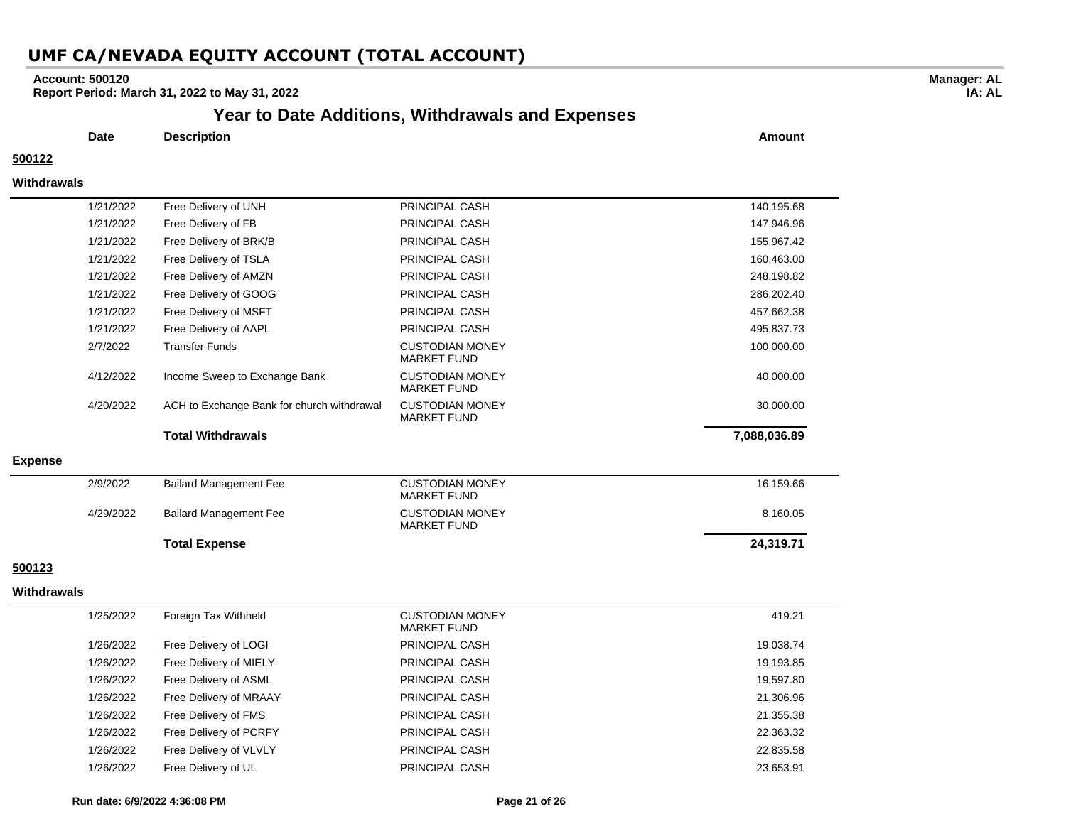### **Account: 500120**

**Report Period: March 31, 2022 to May 31, 2022**

# **Year to Date Additions, Withdrawals and Expenses**

**Date Description Amount**

### **500122**

#### **Withdrawals**

|                | 1/21/2022 | Free Delivery of FB                        | PRINCIPAL CASH                               | 147,946.96   |
|----------------|-----------|--------------------------------------------|----------------------------------------------|--------------|
|                | 1/21/2022 | Free Delivery of BRK/B                     | PRINCIPAL CASH                               | 155,967.42   |
|                | 1/21/2022 | Free Delivery of TSLA                      | <b>PRINCIPAL CASH</b>                        | 160,463.00   |
|                | 1/21/2022 | Free Delivery of AMZN                      | PRINCIPAL CASH                               | 248,198.82   |
|                | 1/21/2022 | Free Delivery of GOOG                      | <b>PRINCIPAL CASH</b>                        | 286,202.40   |
|                | 1/21/2022 | Free Delivery of MSFT                      | PRINCIPAL CASH                               | 457,662.38   |
|                | 1/21/2022 | Free Delivery of AAPL                      | <b>PRINCIPAL CASH</b>                        | 495,837.73   |
|                | 2/7/2022  | <b>Transfer Funds</b>                      | <b>CUSTODIAN MONEY</b><br><b>MARKET FUND</b> | 100,000.00   |
|                | 4/12/2022 | Income Sweep to Exchange Bank              | <b>CUSTODIAN MONEY</b><br><b>MARKET FUND</b> | 40,000.00    |
|                | 4/20/2022 | ACH to Exchange Bank for church withdrawal | <b>CUSTODIAN MONEY</b><br><b>MARKET FUND</b> | 30,000.00    |
|                |           | <b>Total Withdrawals</b>                   |                                              | 7,088,036.89 |
| <b>Expense</b> |           |                                            |                                              |              |
|                | 2/9/2022  | <b>Bailard Management Fee</b>              | <b>CUSTODIAN MONEY</b><br><b>MARKET FUND</b> | 16,159.66    |
|                | 4/29/2022 | <b>Bailard Management Fee</b>              | <b>CUSTODIAN MONEY</b><br><b>MARKET FUND</b> | 8,160.05     |
|                |           | <b>Total Expense</b>                       |                                              | 24,319.71    |
|                |           |                                            |                                              |              |

### **500123**

#### **Withdrawals**

| 1/25/2022 | Foreign Tax Withheld   | <b>CUSTODIAN MONEY</b><br>MARKET FUND | 419.21    |
|-----------|------------------------|---------------------------------------|-----------|
| 1/26/2022 | Free Delivery of LOGI  | PRINCIPAL CASH                        | 19,038.74 |
| 1/26/2022 | Free Delivery of MIELY | PRINCIPAL CASH                        | 19,193.85 |
| 1/26/2022 | Free Delivery of ASML  | PRINCIPAL CASH                        | 19,597.80 |
| 1/26/2022 | Free Delivery of MRAAY | PRINCIPAL CASH                        | 21,306.96 |
| 1/26/2022 | Free Delivery of FMS   | PRINCIPAL CASH                        | 21,355.38 |
| 1/26/2022 | Free Delivery of PCRFY | PRINCIPAL CASH                        | 22,363.32 |
| 1/26/2022 | Free Delivery of VLVLY | PRINCIPAL CASH                        | 22,835.58 |
| 1/26/2022 | Free Delivery of UL    | PRINCIPAL CASH                        | 23.653.91 |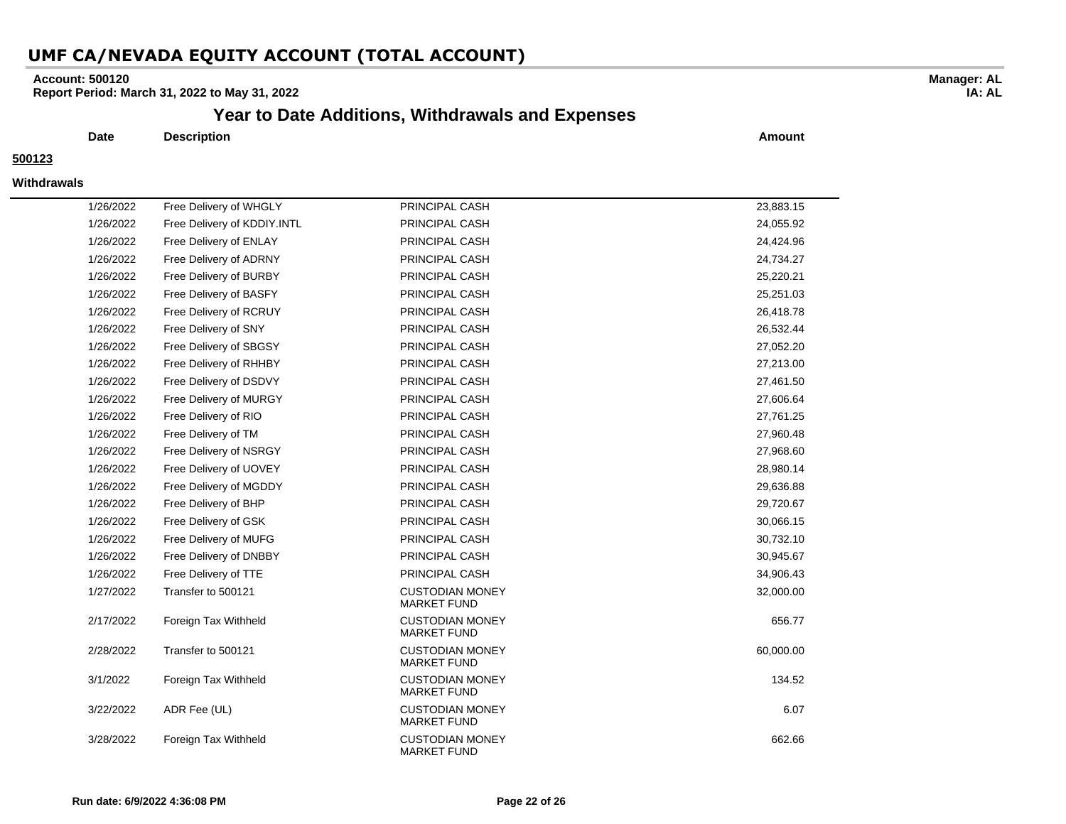### **Account: 500120**

**Report Period: March 31, 2022 to May 31, 2022**

### **Year to Date Additions, Withdrawals and Expenses**

**Date Description Amount**

#### **500123**

#### **Withdrawals**

| 1/26/2022 | Free Delivery of WHGLY      | PRINCIPAL CASH                               | 23,883.15 |
|-----------|-----------------------------|----------------------------------------------|-----------|
| 1/26/2022 | Free Delivery of KDDIY.INTL | PRINCIPAL CASH                               | 24,055.92 |
| 1/26/2022 | Free Delivery of ENLAY      | PRINCIPAL CASH                               | 24,424.96 |
| 1/26/2022 | Free Delivery of ADRNY      | PRINCIPAL CASH                               | 24,734.27 |
| 1/26/2022 | Free Delivery of BURBY      | PRINCIPAL CASH                               | 25,220.21 |
| 1/26/2022 | Free Delivery of BASFY      | PRINCIPAL CASH                               | 25,251.03 |
| 1/26/2022 | Free Delivery of RCRUY      | PRINCIPAL CASH                               | 26,418.78 |
| 1/26/2022 | Free Delivery of SNY        | PRINCIPAL CASH                               | 26,532.44 |
| 1/26/2022 | Free Delivery of SBGSY      | PRINCIPAL CASH                               | 27,052.20 |
| 1/26/2022 | Free Delivery of RHHBY      | PRINCIPAL CASH                               | 27,213.00 |
| 1/26/2022 | Free Delivery of DSDVY      | PRINCIPAL CASH                               | 27,461.50 |
| 1/26/2022 | Free Delivery of MURGY      | PRINCIPAL CASH                               | 27,606.64 |
| 1/26/2022 | Free Delivery of RIO        | PRINCIPAL CASH                               | 27,761.25 |
| 1/26/2022 | Free Delivery of TM         | PRINCIPAL CASH                               | 27,960.48 |
| 1/26/2022 | Free Delivery of NSRGY      | PRINCIPAL CASH                               | 27,968.60 |
| 1/26/2022 | Free Delivery of UOVEY      | PRINCIPAL CASH                               | 28,980.14 |
| 1/26/2022 | Free Delivery of MGDDY      | PRINCIPAL CASH                               | 29,636.88 |
| 1/26/2022 | Free Delivery of BHP        | PRINCIPAL CASH                               | 29,720.67 |
| 1/26/2022 | Free Delivery of GSK        | PRINCIPAL CASH                               | 30,066.15 |
| 1/26/2022 | Free Delivery of MUFG       | PRINCIPAL CASH                               | 30,732.10 |
| 1/26/2022 | Free Delivery of DNBBY      | PRINCIPAL CASH                               | 30,945.67 |
| 1/26/2022 | Free Delivery of TTE        | PRINCIPAL CASH                               | 34,906.43 |
| 1/27/2022 | Transfer to 500121          | <b>CUSTODIAN MONEY</b><br><b>MARKET FUND</b> | 32,000.00 |
| 2/17/2022 | Foreign Tax Withheld        | <b>CUSTODIAN MONEY</b><br><b>MARKET FUND</b> | 656.77    |
| 2/28/2022 | Transfer to 500121          | <b>CUSTODIAN MONEY</b><br><b>MARKET FUND</b> | 60,000.00 |
| 3/1/2022  | Foreign Tax Withheld        | <b>CUSTODIAN MONEY</b><br><b>MARKET FUND</b> | 134.52    |
| 3/22/2022 | ADR Fee (UL)                | <b>CUSTODIAN MONEY</b><br><b>MARKET FUND</b> | 6.07      |
| 3/28/2022 | Foreign Tax Withheld        | <b>CUSTODIAN MONEY</b><br><b>MARKET FUND</b> | 662.66    |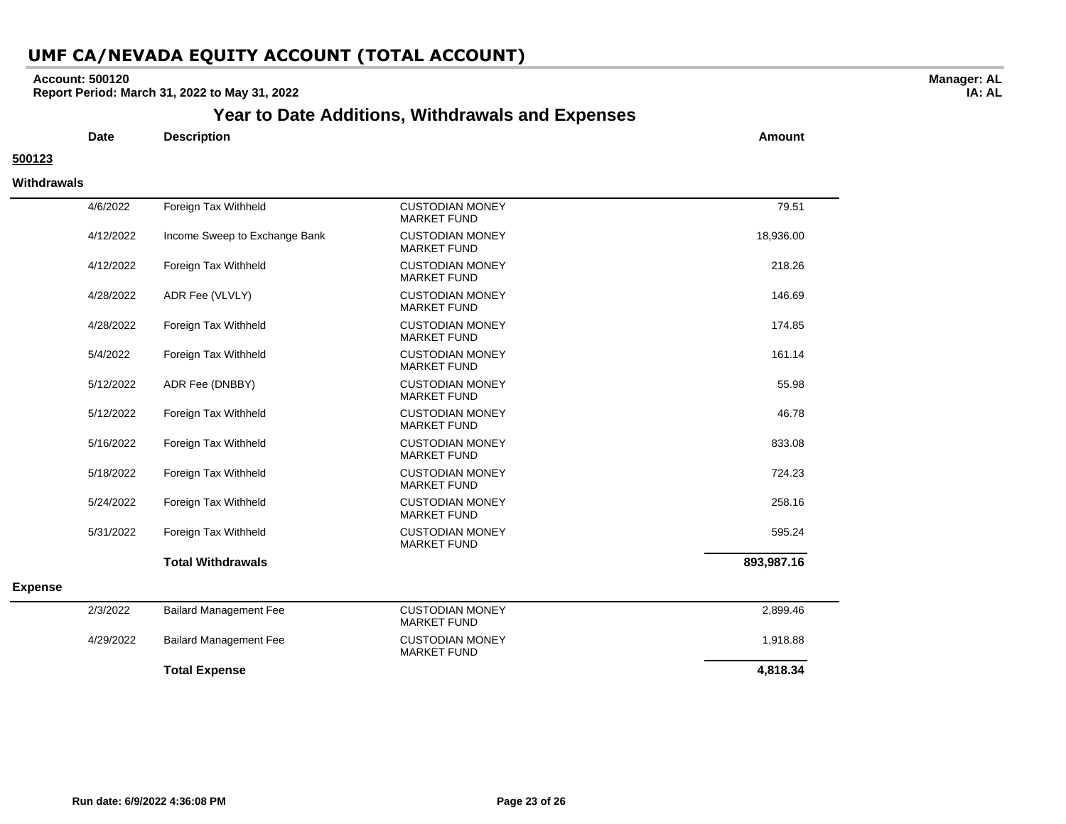### **Account: 500120**

**Report Period: March 31, 2022 to May 31, 2022**

## **Year to Date Additions, Withdrawals and Expenses**

**Date Description Amount**

#### **500123**

**Withdrawals**

|                |           | <b>Total Expense</b>          |                                              | 4,818.34   |
|----------------|-----------|-------------------------------|----------------------------------------------|------------|
|                | 4/29/2022 | <b>Bailard Management Fee</b> | <b>CUSTODIAN MONEY</b><br><b>MARKET FUND</b> | 1,918.88   |
|                | 2/3/2022  | <b>Bailard Management Fee</b> | <b>CUSTODIAN MONEY</b><br><b>MARKET FUND</b> | 2,899.46   |
| <b>Expense</b> |           |                               |                                              |            |
|                |           | <b>Total Withdrawals</b>      |                                              | 893,987.16 |
|                | 5/31/2022 | Foreign Tax Withheld          | <b>CUSTODIAN MONEY</b><br><b>MARKET FUND</b> | 595.24     |
|                | 5/24/2022 | Foreign Tax Withheld          | <b>CUSTODIAN MONEY</b><br><b>MARKET FUND</b> | 258.16     |
|                | 5/18/2022 | Foreign Tax Withheld          | <b>CUSTODIAN MONEY</b><br><b>MARKET FUND</b> | 724.23     |
|                | 5/16/2022 | Foreign Tax Withheld          | <b>CUSTODIAN MONEY</b><br><b>MARKET FUND</b> | 833.08     |
|                | 5/12/2022 | Foreign Tax Withheld          | <b>CUSTODIAN MONEY</b><br><b>MARKET FUND</b> | 46.78      |
|                | 5/12/2022 | ADR Fee (DNBBY)               | <b>CUSTODIAN MONEY</b><br><b>MARKET FUND</b> | 55.98      |
|                | 5/4/2022  | Foreign Tax Withheld          | <b>CUSTODIAN MONEY</b><br><b>MARKET FUND</b> | 161.14     |
|                | 4/28/2022 | Foreign Tax Withheld          | <b>CUSTODIAN MONEY</b><br><b>MARKET FUND</b> | 174.85     |
|                | 4/28/2022 | ADR Fee (VLVLY)               | <b>CUSTODIAN MONEY</b><br><b>MARKET FUND</b> | 146.69     |
|                | 4/12/2022 | Foreign Tax Withheld          | <b>CUSTODIAN MONEY</b><br><b>MARKET FUND</b> | 218.26     |
|                | 4/12/2022 | Income Sweep to Exchange Bank | <b>CUSTODIAN MONEY</b><br><b>MARKET FUND</b> | 18,936.00  |
|                | 4/6/2022  | Foreign Tax Withheld          | <b>CUSTODIAN MONEY</b><br><b>MARKET FUND</b> | 79.51      |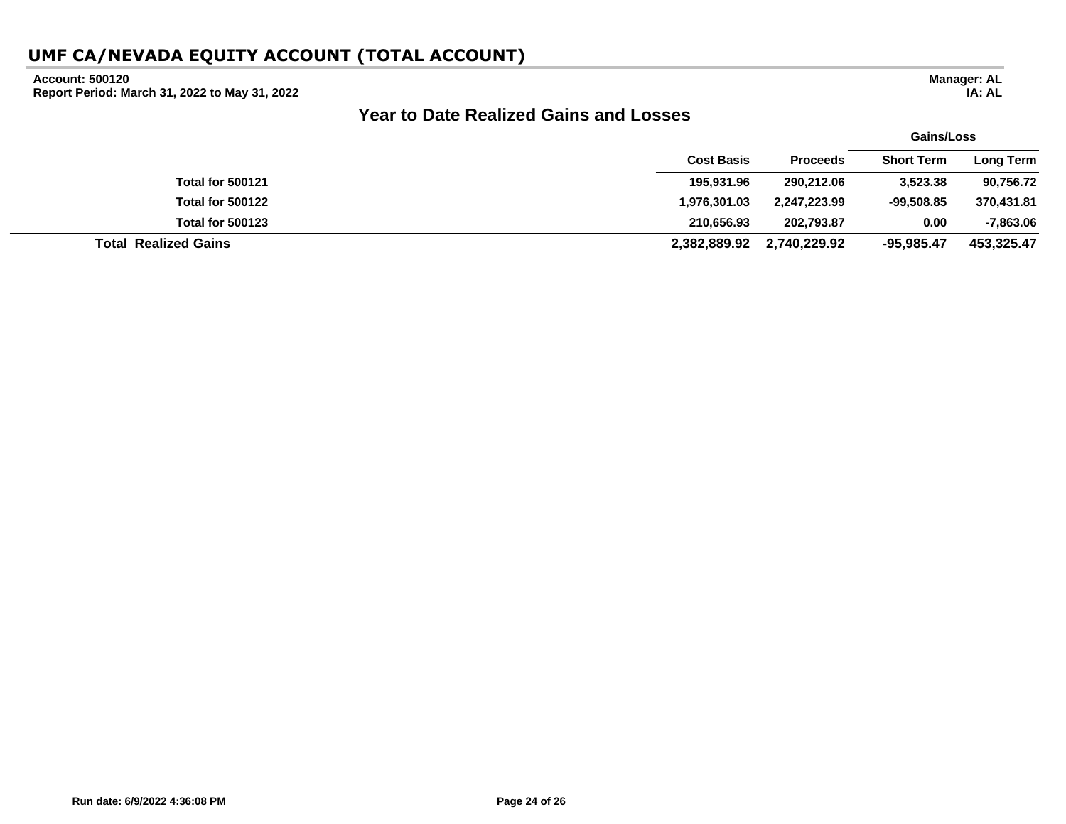### **Account: 500120**

**Report Period: March 31, 2022 to May 31, 2022**

# **Year to Date Realized Gains and Losses**

|                             |                   |                 | Gains/Loss        |             |
|-----------------------------|-------------------|-----------------|-------------------|-------------|
|                             | <b>Cost Basis</b> | <b>Proceeds</b> | <b>Short Term</b> | Long Term   |
| <b>Total for 500121</b>     | 195,931.96        | 290,212.06      | 3,523.38          | 90,756.72   |
| <b>Total for 500122</b>     | 1,976,301.03      | 2,247,223.99    | $-99,508.85$      | 370,431.81  |
| <b>Total for 500123</b>     | 210.656.93        | 202,793.87      | 0.00              | $-7,863.06$ |
| <b>Total Realized Gains</b> | 2,382,889.92      | 2,740,229.92    | $-95,985.47$      | 453,325.47  |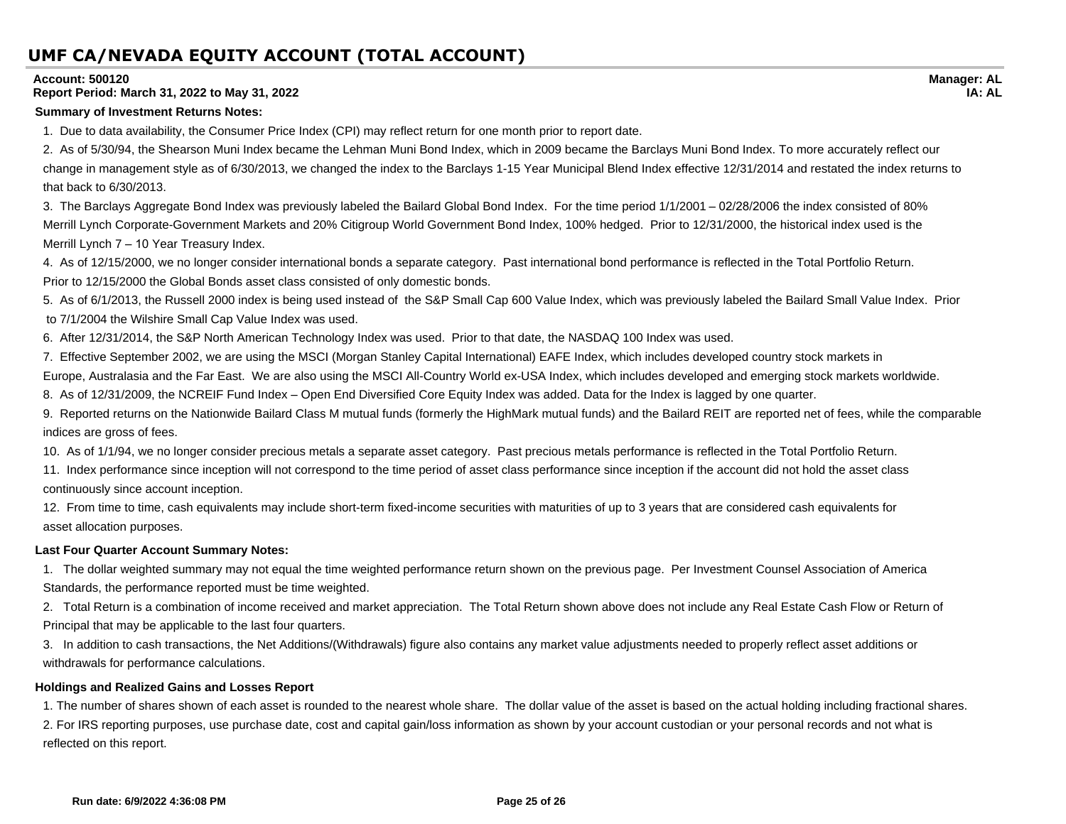#### **Account: 500120**

### **Report Period: March 31, 2022 to May 31, 2022**

#### **Summary of Investment Returns Notes:**

1. Due to data availability, the Consumer Price Index (CPI) may reflect return for one month prior to report date.

2. As of 5/30/94, the Shearson Muni Index became the Lehman Muni Bond Index, which in 2009 became the Barclays Muni Bond Index. To more accurately reflect our change in management style as of 6/30/2013, we changed the index to the Barclays 1-15 Year Municipal Blend Index effective 12/31/2014 and restated the index returns to that back to 6/30/2013.

3. The Barclays Aggregate Bond Index was previously labeled the Bailard Global Bond Index. For the time period 1/1/2001 – 02/28/2006 the index consisted of 80% Merrill Lynch Corporate-Government Markets and 20% Citigroup World Government Bond Index, 100% hedged. Prior to 12/31/2000, the historical index used is the Merrill Lynch 7 – 10 Year Treasury Index.

4. As of 12/15/2000, we no longer consider international bonds a separate category. Past international bond performance is reflected in the Total Portfolio Return. Prior to 12/15/2000 the Global Bonds asset class consisted of only domestic bonds.

5. As of 6/1/2013, the Russell 2000 index is being used instead of the S&P Small Cap 600 Value Index, which was previously labeled the Bailard Small Value Index. Prior to 7/1/2004 the Wilshire Small Cap Value Index was used.

6. After 12/31/2014, the S&P North American Technology Index was used. Prior to that date, the NASDAQ 100 Index was used.

7. Effective September 2002, we are using the MSCI (Morgan Stanley Capital International) EAFE Index, which includes developed country stock markets in

Europe, Australasia and the Far East. We are also using the MSCI All-Country World ex-USA Index, which includes developed and emerging stock markets worldwide.

8. As of 12/31/2009, the NCREIF Fund Index – Open End Diversified Core Equity Index was added. Data for the Index is lagged by one quarter.

9. Reported returns on the Nationwide Bailard Class M mutual funds (formerly the HighMark mutual funds) and the Bailard REIT are reported net of fees, while the comparable indices are gross of fees.

10. As of 1/1/94, we no longer consider precious metals a separate asset category. Past precious metals performance is reflected in the Total Portfolio Return.

11. Index performance since inception will not correspond to the time period of asset class performance since inception if the account did not hold the asset class continuously since account inception.

12. From time to time, cash equivalents may include short-term fixed-income securities with maturities of up to 3 years that are considered cash equivalents for asset allocation purposes.

### **Last Four Quarter Account Summary Notes:**

1. The dollar weighted summary may not equal the time weighted performance return shown on the previous page. Per Investment Counsel Association of America Standards, the performance reported must be time weighted.

2. Total Return is a combination of income received and market appreciation. The Total Return shown above does not include any Real Estate Cash Flow or Return of Principal that may be applicable to the last four quarters.

3. In addition to cash transactions, the Net Additions/(Withdrawals) figure also contains any market value adjustments needed to properly reflect asset additions or withdrawals for performance calculations.

### **Holdings and Realized Gains and Losses Report**

1. The number of shares shown of each asset is rounded to the nearest whole share. The dollar value of the asset is based on the actual holding including fractional shares. 2. For IRS reporting purposes, use purchase date, cost and capital gain/loss information as shown by your account custodian or your personal records and not what is reflected on this report.